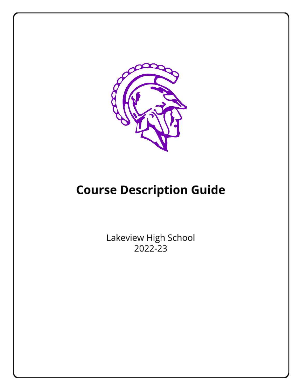

# **Course Description Guide**

Lakeview High School 2022-23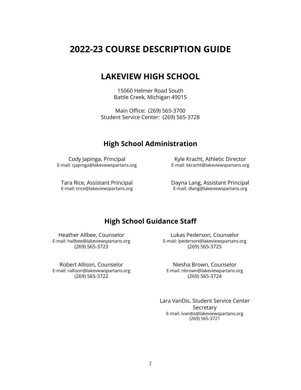### **2022-23 COURSE DESCRIPTION GUIDE**

### **LAKEVIEW HIGH SCHOOL**

15060 Helmer Road South Battle Creek, Michigan 49015

Main Office: (269) 565-3700 Student Service Center: (269) 565-3728

### **High School Administration**

Cody Japinga, Principal E-mail: cjapinga@lakeviewspartans.org

Kyle Kracht, Athletic Director E-mail: kkracht@lakeviewspartans.org

Tara Rice, Assistant Principal E-mail: trice@lakeviewspartans.org Dayna Lang, Assistant Principal E-mail: dlang@lakeviewspartans.org

### **High School Guidance Staff**

Heather Allbee, Counselor E-mail: hallbee@lakeviewspartans.org (269) 565-3723

Robert Allison, Counselor E-mail: rallison@lakeviewspartans.org (269) 565-3722

Lukas Pederson, Counselor E-mail: lpederson@lakeviewspartans.org (269) 565-3725

Niesha Brown, Counselor E-mail: nbrown@lakeviewpartans.org (269) 565-3724

Lara VanDis, Student Service Center **Secretary** E-mail: lvandis@lakeviewspartans.org (269) 565-3721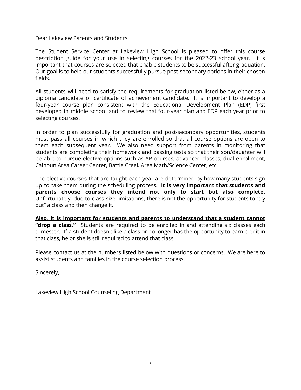Dear Lakeview Parents and Students,

The Student Service Center at Lakeview High School is pleased to offer this course description guide for your use in selecting courses for the 2022-23 school year. It is important that courses are selected that enable students to be successful after graduation. Our goal is to help our students successfully pursue post-secondary options in their chosen fields.

All students will need to satisfy the requirements for graduation listed below, either as a diploma candidate or certificate of achievement candidate. It is important to develop a four-year course plan consistent with the Educational Development Plan (EDP) first developed in middle school and to review that four-year plan and EDP each year prior to selecting courses.

In order to plan successfully for graduation and post-secondary opportunities, students must pass all courses in which they are enrolled so that all course options are open to them each subsequent year. We also need support from parents in monitoring that students are completing their homework and passing tests so that their son/daughter will be able to pursue elective options such as AP courses, advanced classes, dual enrollment, Calhoun Area Career Center, Battle Creek Area Math/Science Center, etc.

The elective courses that are taught each year are determined by how many students sign up to take them during the scheduling process. **It is very important that students and parents choose courses they intend not only to start but also complete.** Unfortunately, due to class size limitations, there is not the opportunity for students to "try out" a class and then change it.

**Also, it is important for students and parents to understand that a student cannot "drop a class."** Students are required to be enrolled in and attending six classes each trimester. If a student doesn't like a class or no longer has the opportunity to earn credit in that class, he or she is still required to attend that class.

Please contact us at the numbers listed below with questions or concerns. We are here to assist students and families in the course selection process.

Sincerely,

Lakeview High School Counseling Department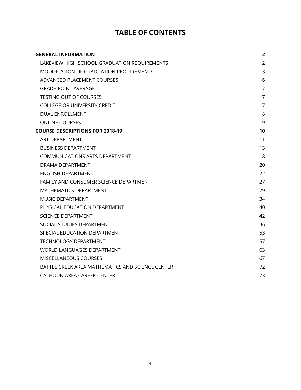### **TABLE OF CONTENTS**

| <b>GENERAL INFORMATION</b>                       | $\overline{2}$ |
|--------------------------------------------------|----------------|
| LAKEVIEW HIGH SCHOOL GRADUATION REQUIREMENTS     | $\overline{2}$ |
| MODIFICATION OF GRADUATION REQUIREMENTS          | 3              |
| ADVANCED PLACEMENT COURSES                       | 6              |
| <b>GRADE-POINT AVERAGE</b>                       | $\overline{7}$ |
| <b>TESTING OUT OF COURSES</b>                    | $\overline{7}$ |
| <b>COLLEGE OR UNIVERSITY CREDIT</b>              | $\overline{7}$ |
| <b>DUAL ENROLLMENT</b>                           | 8              |
| <b>ONLINE COURSES</b>                            | 9              |
| <b>COURSE DESCRIPTIONS FOR 2018-19</b>           | 10             |
| <b>ART DEPARTMENT</b>                            | 11             |
| <b>BUSINESS DEPARTMENT</b>                       | 13             |
| <b>COMMUNICATIONS ARTS DEPARTMENT</b>            | 18             |
| DRAMA DEPARTMENT                                 | 20             |
| <b>ENGLISH DEPARTMENT</b>                        | 22             |
| FAMILY AND CONSUMER SCIENCE DEPARTMENT           | 27             |
| MATHEMATICS DEPARTMENT                           | 29             |
| <b>MUSIC DEPARTMENT</b>                          | 34             |
| PHYSICAL EDUCATION DEPARTMENT                    | 40             |
| <b>SCIENCE DEPARTMENT</b>                        | 42             |
| SOCIAL STUDIES DEPARTMENT                        | 46             |
| SPECIAL EDUCATION DEPARTMENT                     | 53             |
| <b>TECHNOLOGY DEPARTMENT</b>                     | 57             |
| WORLD LANGUAGES DEPARTMENT                       | 63             |
| <b>MISCELLANEOUS COURSES</b>                     | 67             |
| BATTLE CREEK AREA MATHEMATICS AND SCIENCE CENTER | 72             |
| CALHOUN AREA CAREER CENTER                       | 73             |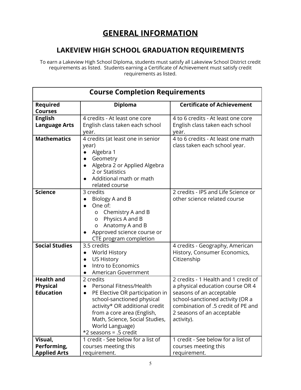## **GENERAL INFORMATION**

### <span id="page-4-0"></span>**LAKEVIEW HIGH SCHOOL GRADUATION REQUIREMENTS**

<span id="page-4-1"></span>To earn a Lakeview High School Diploma, students must satisfy all Lakeview School District credit requirements as listed. Students earning a Certificate of Achievement must satisfy credit requirements as listed.

| <b>Course Completion Requirements</b>                    |                                                                                                                                                                                                                                                                     |                                                                                                                                                                                                                            |  |  |  |
|----------------------------------------------------------|---------------------------------------------------------------------------------------------------------------------------------------------------------------------------------------------------------------------------------------------------------------------|----------------------------------------------------------------------------------------------------------------------------------------------------------------------------------------------------------------------------|--|--|--|
| Required<br><b>Courses</b>                               | <b>Diploma</b>                                                                                                                                                                                                                                                      | <b>Certificate of Achievement</b>                                                                                                                                                                                          |  |  |  |
| <b>English</b><br><b>Language Arts</b>                   | 4 credits - At least one core<br>English class taken each school<br>year.                                                                                                                                                                                           | 4 to 6 credits - At least one core<br>English class taken each school<br>year.                                                                                                                                             |  |  |  |
| <b>Mathematics</b>                                       | 4 credits (at least one in senior<br>year)<br>Algebra 1<br>Geometry<br>Algebra 2 or Applied Algebra<br>2 or Statistics<br>Additional math or math<br>related course                                                                                                 | 4 to 6 credits - At least one math<br>class taken each school year.                                                                                                                                                        |  |  |  |
| <b>Science</b>                                           | 3 credits<br>Biology A and B<br>One of:<br>Chemistry A and B<br>O<br>Physics A and B<br>O<br>Anatomy A and B<br>O<br>Approved science course or<br>CTE program completion                                                                                           | 2 credits - IPS and Life Science or<br>other science related course                                                                                                                                                        |  |  |  |
| <b>Social Studies</b>                                    | 3.5 credits<br><b>World History</b><br>$\bullet$<br><b>US History</b><br>Intro to Economics<br>$\bullet$<br>American Government                                                                                                                                     | 4 credits - Geography, American<br>History, Consumer Economics,<br>Citizenship                                                                                                                                             |  |  |  |
| <b>Health and</b><br><b>Physical</b><br><b>Education</b> | 2 credits<br>Personal Fitness/Health<br>PE Elective OR participation in<br>$\bullet$<br>school-sanctioned physical<br>activity* OR additional credit<br>from a core area (English,<br>Math, Science, Social Studies,<br>World Language)<br>$*2$ seasons = .5 credit | 2 credits - 1 Health and 1 credit of<br>a physical education course OR 4<br>seasons of an acceptable<br>school-sanctioned activity (OR a<br>combination of .5 credit of PE and<br>2 seasons of an acceptable<br>activity). |  |  |  |
| Visual,<br>Performing,<br><b>Applied Arts</b>            | 1 credit - See below for a list of<br>courses meeting this<br>requirement.                                                                                                                                                                                          | 1 credit - See below for a list of<br>courses meeting this<br>requirement.                                                                                                                                                 |  |  |  |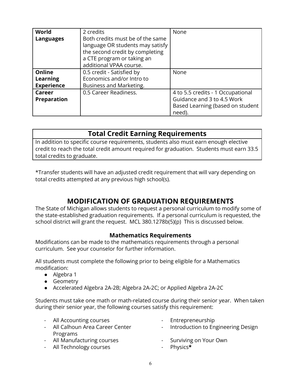| World              | 2 credits                                                            | None                              |
|--------------------|----------------------------------------------------------------------|-----------------------------------|
| <b>Languages</b>   | Both credits must be of the same<br>language OR students may satisfy |                                   |
|                    | the second credit by completing                                      |                                   |
|                    | a CTE program or taking an                                           |                                   |
|                    | additional VPAA course.                                              |                                   |
| <b>Online</b>      | 0.5 credit - Satisfied by                                            | None                              |
| Learning           | Economics and/or Intro to                                            |                                   |
| <b>Experience</b>  | Business and Marketing.                                              |                                   |
| Career             | 0.5 Career Readiness.                                                | 4 to 5.5 credits - 1 Occupational |
| <b>Preparation</b> |                                                                      | Guidance and 3 to 4.5 Work        |
|                    |                                                                      | Based Learning (based on student  |
|                    |                                                                      | need).                            |

### **Total Credit Earning Requirements**

In addition to specific course requirements, students also must earn enough elective credit to reach the total credit amount required for graduation. Students must earn 33.5 total credits to graduate.

\*Transfer students will have an adjusted credit requirement that will vary depending on total credits attempted at any previous high school(s).

### **MODIFICATION OF GRADUATION REQUIREMENTS**

<span id="page-5-0"></span>The State of Michigan allows students to request a personal curriculum to modify some of the state-established graduation requirements. If a personal curriculum is requested, the school district will grant the request. MCL 380.1278b(5)(p) This is discussed below.

### **Mathematics Requirements**

Modifications can be made to the mathematics requirements through a personal curriculum. See your counselor for further information.

All students must complete the following prior to being eligible for a Mathematics modification:

- Algebra 1
- Geometry
- Accelerated Algebra 2A-2B; Algebra 2A-2C; or Applied Algebra 2A-2C

Students must take one math or math-related course during their senior year. When taken during their senior year, the following courses satisfy this requirement:

| - All Accounting courses                                                                                                                                                                                                                                                                                                           | - Entrepreneurship                   |
|------------------------------------------------------------------------------------------------------------------------------------------------------------------------------------------------------------------------------------------------------------------------------------------------------------------------------------|--------------------------------------|
| - All Calhoun Area Career Center                                                                                                                                                                                                                                                                                                   | - Introduction to Engineering Design |
| Programs                                                                                                                                                                                                                                                                                                                           |                                      |
| - All Manufacturing courses                                                                                                                                                                                                                                                                                                        | - Surviving on Your Own              |
| $\mathbf{A} \mathbf{B}$ $\mathbf{F}$ $\mathbf{B}$ $\mathbf{B}$ $\mathbf{B}$ $\mathbf{B}$ $\mathbf{B}$ $\mathbf{B}$ $\mathbf{B}$ $\mathbf{B}$ $\mathbf{B}$ $\mathbf{B}$ $\mathbf{B}$ $\mathbf{B}$ $\mathbf{B}$ $\mathbf{B}$ $\mathbf{B}$ $\mathbf{B}$ $\mathbf{B}$ $\mathbf{B}$ $\mathbf{B}$ $\mathbf{B}$ $\mathbf{B}$ $\mathbf{B}$ | .                                    |

- All Technology courses - Physics**\***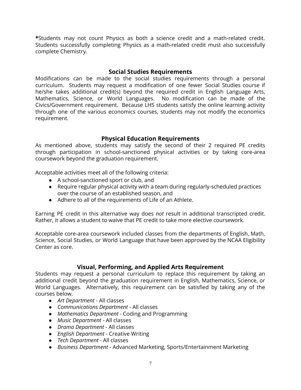**\***Students may not count Physics as both a science credit and a math-related credit. Students successfully completing Physics as a math-related credit must also successfully complete Chemistry.

#### **Social Studies Requirements**

Modifications can be made to the social studies requirements through a personal curriculum. Students may request a modification of one fewer Social Studies course if he/she takes additional credit(s) beyond the required credit in English Language Arts, Mathematics, Science, or World Languages. No modification can be made of the Civics/Government requirement. Because LHS students satisfy the online learning activity through one of the various economics courses, students may not modify the economics requirement.

#### **Physical Education Requirements**

As mentioned above, students may satisfy the second of their 2 required PE credits through participation in school-sanctioned physical activities or by taking core-area coursework beyond the graduation requirement.

Acceptable activities meet all of the following criteria:

- A school-sanctioned sport or club, and
- Require regular physical activity with a team during regularly-scheduled practices over the course of an established season, and
- Adhere to all of the requirements of Life of an Athlete.

Earning PE credit in this alternative way does *not* result in additional transcripted credit. Rather, it allows a student to waive that PE credit to take more elective coursework.

Acceptable core-area coursework included classes from the departments of English, Math, Science, Social Studies, or World Language that have been approved by the NCAA Eligibility Center as core.

#### **Visual, Performing, and Applied Arts Requirement**

Students may request a personal curriculum to replace this requirement by taking an additional credit beyond the graduation requirement in English, Mathematics, Science, or World Languages. Alternatively, this requirement can be satisfied by taking any of the courses below.

- *Art Department* All classes
- *Communications Department* All classes
- *Mathematics Department* Coding and Programming
- *Music Department* All classes
- *Drama Department* All classes
- *English Department* Creative Writing
- *Tech Department* All classes
- *Business Department* Advanced Marketing, Sports/Entertainment Marketing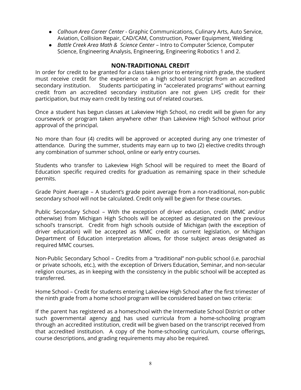- *Calhoun Area Career Center* Graphic Communications, Culinary Arts, Auto Service, Aviation, Collision Repair, CAD/CAM, Construction, Power Equipment, Welding
- *Battle Creek Area Math & Science Center* Intro to Computer Science, Computer Science, Engineering Analysis, Engineering, Engineering Robotics 1 and 2.

#### **NON-TRADITIONAL CREDIT**

In order for credit to be granted for a class taken prior to entering ninth grade, the student must receive credit for the experience on a high school transcript from an accredited secondary institution. Students participating in "accelerated programs" without earning credit from an accredited secondary institution are not given LHS credit for their participation, but may earn credit by testing out of related courses.

Once a student has begun classes at Lakeview High School, no credit will be given for any coursework or program taken anywhere other than Lakeview High School without prior approval of the principal.

No more than four (4) credits will be approved or accepted during any one trimester of attendance. During the summer, students may earn up to two (2) elective credits through any combination of summer school, online or early entry courses.

Students who transfer to Lakeview High School will be required to meet the Board of Education specific required credits for graduation as remaining space in their schedule permits.

Grade Point Average – A student's grade point average from a non-traditional, non-public secondary school will not be calculated. Credit only will be given for these courses.

Public Secondary School – With the exception of driver education, credit (MMC and/or otherwise) from Michigan High Schools will be accepted as designated on the previous school's transcript. Credit from high schools outside of Michigan (with the exception of driver education) will be accepted as MMC credit as current legislation, or Michigan Department of Education interpretation allows, for those subject areas designated as required MMC courses.

Non-Public Secondary School – Credits from a "traditional" non-public school (i.e. parochial or private schools, etc.), with the exception of Drivers Education, Seminar, and non-secular religion courses, as in keeping with the consistency in the public school will be accepted as transferred.

Home School – Credit for students entering Lakeview High School after the first trimester of the ninth grade from a home school program will be considered based on two criteria:

If the parent has registered as a homeschool with the Intermediate School District or other such governmental agency and has used curricula from a home-schooling program through an accredited institution, credit will be given based on the transcript received from that accredited institution. A copy of the home-schooling curriculum, course offerings, course descriptions, and grading requirements may also be required.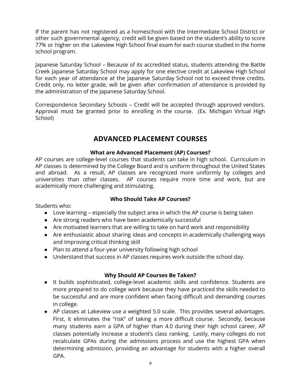If the parent has not registered as a homeschool with the Intermediate School District or other such governmental agency, credit will be given based on the student's ability to score 77% or higher on the Lakeview High School final exam for each course studied in the home school program.

Japanese Saturday School – Because of its accredited status, students attending the Battle Creek Japanese Saturday School may apply for one elective credit at Lakeview High School for each year of attendance at the Japanese Saturday School not to exceed three credits. Credit only, no letter grade, will be given after confirmation of attendance is provided by the administration of the Japanese Saturday School.

Correspondence Secondary Schools – Credit will be accepted through approved vendors. Approval must be granted prior to enrolling in the course. (Ex. Michigan Virtual High School)

### **ADVANCED PLACEMENT COURSES**

### **What are Advanced Placement (AP) Courses?**

<span id="page-8-0"></span>AP courses are college-level courses that students can take in high school. Curriculum in AP classes is determined by the College Board and is uniform throughout the United States and abroad. As a result, AP classes are recognized more uniformly by colleges and universities than other classes. AP courses require more time and work, but are academically more challenging and stimulating.

### **Who Should Take AP Courses?**

Students who:

- Love learning especially the subject area in which the AP course is being taken
- Are strong readers who have been academically successful
- Are motivated learners that are willing to take on hard work and responsibility
- Are enthusiastic about sharing ideas and concepts in academically challenging ways and Improving critical thinking skill
- Plan to attend a four-year university following high school
- Understand that success in AP classes requires work outside the school day.

### **Why Should AP Courses Be Taken?**

- It builds sophisticated, college-level academic skills and confidence. Students are more prepared to do college work because they have practiced the skills needed to be successful and are more confident when facing difficult and demanding courses in college.
- AP classes at Lakeview use a weighted 5.0 scale. This provides several advantages. First, it eliminates the "risk" of taking a more difficult course. Secondly, because many students earn a GPA of higher than 4.0 during their high school career, AP classes potentially increase a student's class ranking. Lastly, many colleges do not recalculate GPAs during the admissions process and use the highest GPA when determining admission, providing an advantage for students with a higher overall GPA.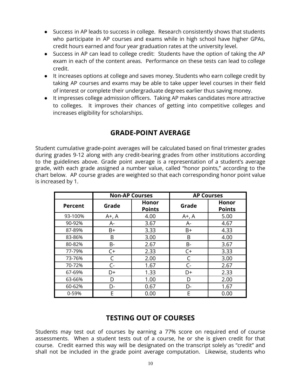- Success in AP leads to success in college. Research consistently shows that students who participate in AP courses and exams while in high school have higher GPAs, credit hours earned and four year graduation rates at the university level.
- Success in AP can lead to college credit: Students have the option of taking the AP exam in each of the content areas. Performance on these tests can lead to college credit.
- It increases options at college and saves money. Students who earn college credit by taking AP courses and exams may be able to take upper level courses in their field of interest or complete their undergraduate degrees earlier thus saving money.
- It impresses college admission officers. Taking AP makes candidates more attractive to colleges. It improves their chances of getting into competitive colleges and increases eligibility for scholarships.

### **GRADE-POINT AVERAGE**

<span id="page-9-0"></span>Student cumulative grade-point averages will be calculated based on final trimester grades during grades 9-12 along with any credit-bearing grades from other institutions according to the guidelines above. Grade point average is a representation of a student's average grade, with each grade assigned a number value, called "honor points," according to the chart below. AP course grades are weighted so that each corresponding honor point value is increased by 1.

|                | <b>Non-AP Courses</b> |                               | <b>AP Courses</b> |                        |
|----------------|-----------------------|-------------------------------|-------------------|------------------------|
| <b>Percent</b> | Grade                 | <b>Honor</b><br><b>Points</b> | Grade             | Honor<br><b>Points</b> |
| 93-100%        | $A+$ , $A$            | 4.00                          | $A^+$ , A         | 5.00                   |
| 90-92%         | $A-$                  | 3.67                          | А-                | 4.67                   |
| 87-89%         | $B+$                  | 3.33                          | $B+$              | 4.33                   |
| 83-86%         | B                     | 3.00                          | B                 | 4.00                   |
| 80-82%         | B-                    | 2.67                          | B-                | 3.67                   |
| 77-79%         | $C+$                  | 2.33                          | $C+$              | 3.33                   |
| 73-76%         |                       | 2.00                          | C                 | 3.00                   |
| 70-72%         | $C -$                 | 1.67                          | $C -$             | 2.67                   |
| 67-69%         | D+                    | 1.33                          | D+                | 2.33                   |
| 63-66%         | D                     | 1.00                          | D                 | 2.00                   |
| 60-62%         | D-                    | 0.67                          | D-                | 1.67                   |
| 0-59%          | F                     | 0.00                          | E                 | 0.00                   |

### **TESTING OUT OF COURSES**

<span id="page-9-1"></span>Students may test out of courses by earning a 77% score on required end of course assessments. When a student tests out of a course, he or she is given credit for that course. Credit earned this way will be designated on the transcript solely as "credit" and shall not be included in the grade point average computation. Likewise, students who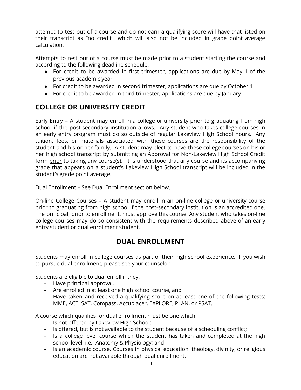attempt to test out of a course and do not earn a qualifying score will have that listed on their transcript as "no credit", which will also not be included in grade point average calculation.

Attempts to test out of a course must be made prior to a student starting the course and according to the following deadline schedule:

- For credit to be awarded in first trimester, applications are due by May 1 of the previous academic year
- For credit to be awarded in second trimester, applications are due by October 1
- <span id="page-10-0"></span>● For credit to be awarded in third trimester, applications are due by January 1

### **COLLEGE OR UNIVERSITY CREDIT**

Early Entry – A student may enroll in a college or university prior to graduating from high school if the post-secondary institution allows. Any student who takes college courses in an early entry program must do so outside of regular Lakeview High School hours. Any tuition, fees, or materials associated with these courses are the responsibility of the student and his or her family. A student may elect to have these college courses on his or her high school transcript by submitting an Approval for Non-Lakeview High School Credit form prior to taking any course(s). It is understood that any course and its accompanying grade that appears on a student's Lakeview High School transcript will be included in the student's grade point average.

Dual Enrollment – See Dual Enrollment section below.

On-line College Courses – A student may enroll in an on-line college or university course prior to graduating from high school if the post-secondary institution is an accredited one. The principal, prior to enrollment, must approve this course. Any student who takes on-line college courses may do so consistent with the requirements described above of an early entry student or dual enrollment student.

### **DUAL ENROLLMENT**

<span id="page-10-1"></span>Students may enroll in college courses as part of their high school experience. If you wish to pursue dual enrollment, please see your counselor.

Students are eligible to dual enroll if they:

- Have principal approval,
- Are enrolled in at least one high school course, and
- Have taken and received a qualifying score on at least one of the following tests: MME, ACT, SAT, Compass, Accuplacer, EXPLORE, PLAN, or PSAT.

A course which qualifies for dual enrollment must be one which:

- Is not offered by Lakeview High School;
- Is offered, but is not available to the student because of a scheduling conflict;
- Is a college level course which the student has taken and completed at the high school level. i.e.- Anatomy & Physiology; and
- Is an academic course. Courses in physical education, theology, divinity, or religious education are not available through dual enrollment.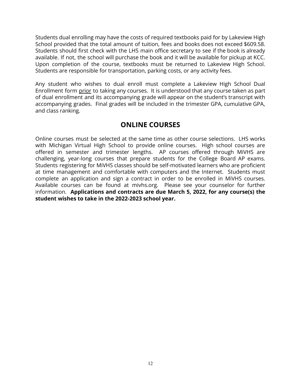Students dual enrolling may have the costs of required textbooks paid for by Lakeview High School provided that the total amount of tuition, fees and books does not exceed \$609.58. Students should first check with the LHS main office secretary to see if the book is already available. If not, the school will purchase the book and it will be available for pickup at KCC. Upon completion of the course, textbooks must be returned to Lakeview High School. Students are responsible for transportation, parking costs, or any activity fees.

Any student who wishes to dual enroll must complete a Lakeview High School Dual Enrollment form prior to taking any courses. It is understood that any course taken as part of dual enrollment and its accompanying grade will appear on the student's transcript with accompanying grades. Final grades will be included in the trimester GPA, cumulative GPA, and class ranking.

### **ONLINE COURSES**

<span id="page-11-0"></span>Online courses must be selected at the same time as other course selections. LHS works with Michigan Virtual High School to provide online courses. High school courses are offered in semester and trimester lengths. AP courses offered through MiVHS are challenging, year-long courses that prepare students for the College Board AP exams. Students registering for MiVHS classes should be self-motivated learners who are proficient at time management and comfortable with computers and the Internet. Students must complete an application and sign a contract in order to be enrolled in MiVHS courses. Available courses can be found at mivhs.org. Please see your counselor for further information. **Applications and contracts are due March 5, 2022, for any course(s) the student wishes to take in the 2022-2023 school year.**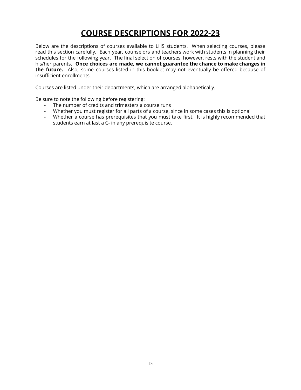## **COURSE DESCRIPTIONS FOR 2022-23**

<span id="page-12-0"></span>Below are the descriptions of courses available to LHS students. When selecting courses, please read this section carefully. Each year, counselors and teachers work with students in planning their schedules for the following year. The final selection of courses, however, rests with the student and his/her parents. **Once choices are made**, **we cannot guarantee the chance to make changes in the future.** Also, some courses listed in this booklet may not eventually be offered because of insufficient enrollments.

Courses are listed under their departments, which are arranged alphabetically.

Be sure to note the following before registering:

- The number of credits and trimesters a course runs
- Whether you must register for all parts of a course, since in some cases this is optional
- Whether a course has prerequisites that you must take first. It is highly recommended that students earn at last a C- in any prerequisite course.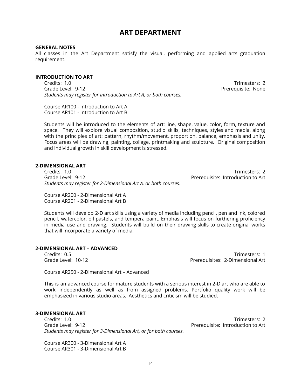### **ART DEPARTMENT**

#### <span id="page-13-0"></span>**GENERAL NOTES**

All classes in the Art Department satisfy the visual, performing and applied arts graduation requirement.

#### **INTRODUCTION TO ART**

Credits: 1.0 Trimesters: 2 Grade Level: 9-12 **Preference Contract Contract Contract Contract Contract Contract Contract Contract Contract Contract Contract Contract Contract Contract Contract Contract Contract Contract Contract Contract Contract Con** *Students may register for Introduction to Art A, or both courses.*

Course AR100 - Introduction to Art A Course AR101 - Introduction to Art B

Students will be introduced to the elements of art: line, shape, value, color, form, texture and space. They will explore visual composition, studio skills, techniques, styles and media, along with the principles of art: pattern, rhythm/movement, proportion, balance, emphasis and unity. Focus areas will be drawing, painting, collage, printmaking and sculpture. Original composition and individual growth in skill development is stressed.

#### **2-DIMENSIONAL ART**

Credits: 1.0 Trimesters: 2 Grade Level: 9-12 Prerequisite: Introduction to Art *Students may register for 2-Dimensional Art A, or both courses.*

Course AR200 - 2-Dimensional Art A Course AR201 - 2-Dimensional Art B

Students will develop 2-D art skills using a variety of media including pencil, pen and ink, colored pencil, watercolor, oil pastels, and tempera paint. Emphasis will focus on furthering proficiency in media use and drawing. Students will build on their drawing skills to create original works that will incorporate a variety of media.

#### **2-DIMENSIONAL ART – ADVANCED**

Credits: 0.5 Trimesters: 1 Grade Level: 10-12 Prerequisites: 2-Dimensional Art

Course AR250 - 2-Dimensional Art – Advanced

This is an advanced course for mature students with a serious interest in 2-D art who are able to work independently as well as from assigned problems. Portfolio quality work will be emphasized in various studio areas. Aesthetics and criticism will be studied.

#### **3-DIMENSIONAL ART**

Credits: 1.0 Trimesters: 2 Grade Level: 9-12 Prerequisite: Introduction to Art *Students may register for 3-Dimensional Art, or for both courses.*

Course AR300 - 3-Dimensional Art A Course AR301 - 3-Dimensional Art B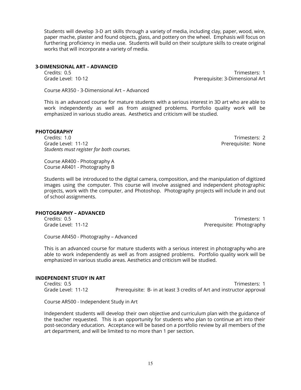Students will develop 3-D art skills through a variety of media, including clay, paper, wood, wire, paper mache, plaster and found objects, glass, and pottery on the wheel. Emphasis will focus on furthering proficiency in media use. Students will build on their sculpture skills to create original works that will incorporate a variety of media.

#### **3-DIMENSIONAL ART – ADVANCED**

Credits: 0.5 Trimesters: 1 Grade Level: 10-12 Prerequisite: 3-Dimensional Art

Course AR350 - 3-Dimensional Art – Advanced

This is an advanced course for mature students with a serious interest in 3D art who are able to work independently as well as from assigned problems. Portfolio quality work will be emphasized in various studio areas. Aesthetics and criticism will be studied.

#### **PHOTOGRAPHY**

Credits: 1.0 Trimesters: 2 Grade Level: 11-12 **Preference 2018** Prerequisite: None *Students must register for both courses.*

Course AR400 - Photography A Course AR401 - Photography B

Students will be introduced to the digital camera, composition, and the manipulation of digitized images using the computer. This course will involve assigned and independent photographic projects, work with the computer, and Photoshop. Photography projects will include in and out of school assignments.

#### **PHOTOGRAPHY – ADVANCED**

Credits: 0.5 Trimesters: 1 Grade Level: 11-12 **Premium and Communisties** Photography

Course AR450 - Photography – Advanced

This is an advanced course for mature students with a serious interest in photography who are able to work independently as well as from assigned problems. Portfolio quality work will be emphasized in various studio areas. Aesthetics and criticism will be studied.

#### **INDEPENDENT STUDY IN ART**

Credits: 0.5 Trimesters: 1 Grade Level: 11-12 Prerequisite: B- in at least 3 credits of Art and instructor approval

Course AR500 - Independent Study in Art

Independent students will develop their own objective and curriculum plan with the guidance of the teacher requested. This is an opportunity for students who plan to continue art into their post-secondary education. Acceptance will be based on a portfolio review by all members of the art department, and will be limited to no more than 1 per section.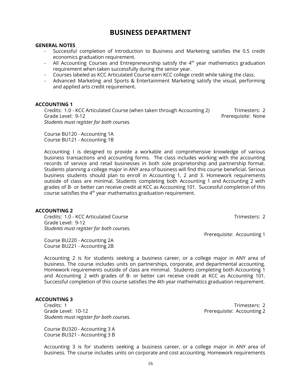### **BUSINESS DEPARTMENT**

#### <span id="page-15-0"></span>**GENERAL NOTES**

- Successful completion of Introduction to Business and Marketing satisfies the 0.5 credit economics graduation requirement.
- All Accounting Courses and Entrepreneurship satisfy the  $4^{\text{th}}$  year mathematics graduation requirement when taken successfully during the senior year.
- Courses labeled as KCC Articulated Course earn KCC college credit while taking the class.
- Advanced Marketing and Sports & Entertainment Marketing satisfy the visual, performing and applied arts credit requirement.

#### **ACCOUNTING 1**

Credits: 1.0 - KCC Articulated Course (when taken through Accounting 2) Trimesters: 2 Grade Level: 9-12 **Preference Level: 9-12** Prerequisite: None *Students must register for both courses.*

Course BU120 - Accounting 1A Course BU121 - Accounting 1B

Accounting I is designed to provide a workable and comprehensive knowledge of various business transactions and accounting forms. The class includes working with the accounting records of service and retail businesses in both sole proprietorship and partnership format. Students planning a college major in ANY area of business will find this course beneficial. Serious business students should plan to enroll in Accounting 1, 2 and 3. Homework requirements outside of class are minimal. Students completing both Accounting 1 and Accounting 2 with grades of B- or better can receive credit at KCC as Accounting 101. Successful completion of this course satisfies the  $4<sup>th</sup>$  year mathematics graduation requirement.

#### **ACCOUNTING 2**

Credits: 1.0 - KCC Articulated Course Trimesters: 2 Grade Level: 9-12 *Students must register for both courses.*

Course BU220 - Accounting 2A Course BU221 - Accounting 2B

Accounting 2 is for students seeking a business career, or a college major in ANY area of business. The course includes units on partnerships, corporate, and departmental accounting. Homework requirements outside of class are minimal. Students completing both Accounting 1 and Accounting 2 with grades of B- or better can receive credit at KCC as Accounting 101. Successful completion of this course satisfies the 4th year mathematics graduation requirement.

#### **ACCOUNTING 3**

Credits: 1 Trimesters: 2 Grade Level: 10-12 **Premission** Prerequisite: Accounting 2 *Students must register for both courses.*

Course BU320 - Accounting 3 A Course BU321 - Accounting 3 B

Prerequisite: Accounting 1

Accounting 3 is for students seeking a business career, or a college major in ANY area of business. The course includes units on corporate and cost accounting. Homework requirements

16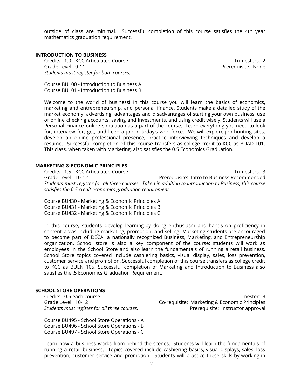outside of class are minimal. Successful completion of this course satisfies the 4th year mathematics graduation requirement.

#### **INTRODUCTION TO BUSINESS**

Credits: 1.0 - KCC Articulated Course Trimesters: 2 Grade Level: 9-11 **Preference Level: 9-11** Prerequisite: None *Students must register for both courses.*

Course BU100 - Introduction to Business A Course BU101 - Introduction to Business B

Welcome to the world of business! In this course you will learn the basics of economics, marketing and entrepreneurship, and personal finance. Students make a detailed study of the market economy, advertising, advantages and disadvantages of starting your own business, use of online checking accounts, saving and investments, and using credit wisely. Students will use a Personal Finance online simulation as a part of the course. Learn everything you need to look for, interview for, get, and keep a job in today's workforce. We will explore job hunting sites, develop an online professional presence, practice interviewing techniques and develop a resume. Successful completion of this course transfers as college credit to KCC as BUAD 101. This class, when taken with Marketing, also satisfies the 0.5 Economics Graduation.

#### **MARKETING & ECONOMIC PRINCIPLES**

Credits: 1.5 - KCC Articulated Course Trimesters: 3 Grade Level: 10-12 **Premissible** Prerequisite: Intro to Business Recommended *Students must register for all three courses. Taken in addition to Introduction to Business, this course satisfies the 0.5 credit economics graduation requirement.*

Course BU430 - Marketing & Economic Principles A Course BU431 - Marketing & Economic Principles B Course BU432 - Marketing & Economic Principles C

In this course, students develop learning-by doing enthusiasm and hands on proficiency in content areas including marketing, promotion, and selling. Marketing students are encouraged to become part of DECA, a nationally recognized Business, Marketing, and Entrepreneurship organization. School store is also a key component of the course; students will work as employees in the School Store and also learn the fundamentals of running a retail business. School Store topics covered include cashiering basics, visual display, sales, loss prevention, customer service and promotion. Successful completion of this course transfers as college credit to KCC as BUEN 105. Successful completion of Marketing and Introduction to Business also satisfies the .5 Economics Graduation Requirement.

#### **SCHOOL STORE OPERATIONS**

Course BU495 - School Store Operations - A Course BU496 - School Store Operations - B Course BU497 - School Store Operations - C

Credits: 0.5 each course Trimester: 3 Grade Level: 10-12 Co-requisite: Marketing & Economic Principles *Students must register for all three courses.* Prerequisite: instructor approval

Learn how a business works from behind the scenes. Students will learn the fundamentals of running a retail business. Topics covered include cashiering basics, visual displays, sales, loss prevention, customer service and promotion. Students will practice these skills by working in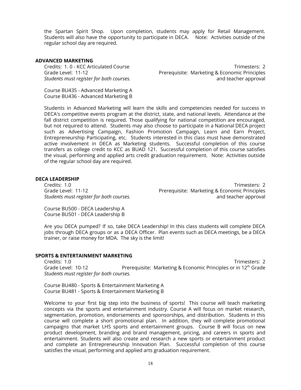the Spartan Spirit Shop. Upon completion, students may apply for Retail Management. Students will also have the opportunity to participate in DECA. Note: Activities outside of the regular school day are required.

#### **ADVANCED MARKETING**

Credits: 1. 0 - KCC Articulated Course Trimesters: 2 Grade Level: 11-12 **Prerequisite: Marketing & Economic Principles** *Students must register for both courses.* and teacher approval

Course BU435 - Advanced Marketing A Course BU436 - Advanced Marketing B

Students in Advanced Marketing will learn the skills and competencies needed for success in DECA's competitive events program at the district, state, and national levels. Attendance at the fall district competition is required. Those qualifying for national competition are encouraged, but not required to attend. Students may also choose to participate in a National DECA project such as Advertising Campaign, Fashion Promotion Campaign, Learn and Earn Project, Entrepreneurship Participating, etc. Students interested in this class must have demonstrated active involvement in DECA as Marketing students. Successful completion of this course transfers as college credit to KCC as BUAD 121. Successful completion of this course satisfies the visual, performing and applied arts credit graduation requirement. Note: Activities outside of the regular school day are required.

#### **DECA LEADERSHIP**

Credits: 1.0 Trimesters: 2 Grade Level: 11-12 **Prerequisite: Marketing & Economic Principles** *Students must register for both courses.* and teacher approval

Course BU500 - DECA Leadership A Course BU501 - DECA Leadership B

Are you DECA pumped? If so, take DECA Leadership! In this class students will complete DECA jobs through DECA groups or as a DECA Officer. Plan events such as DECA meetings, be a DECA trainer, or raise money for MDA. The sky is the limit!

#### **SPORTS & ENTERTAINMENT MARKETING**

Credits: 1.0 Trimesters: 2 Grade Level: 10-12 **Prerequisite: Marketing & Economic Principles or in** 12<sup>th</sup> Grade *Students must register for both courses.*

Course BU480 - Sports & Entertainment Marketing A Course BU481 - Sports & Entertainment Marketing B

Welcome to your first big step into the business of sports! This course will teach marketing concepts via the sports and entertainment industry. Course A will focus on market research, segmentation, promotion, endorsements and sponsorships, and distribution. Students in this course will complete a short promotional plan. In addition, they will complete promotional campaigns that market LHS sports and entertainment groups. Course B will focus on new product development, branding and brand management, pricing, and careers in sports and entertainment. Students will also create and research a new sports or entertainment product and complete an Entrepreneurship Innovation Plan. Successful completion of this course satisfies the visual, performing and applied arts graduation requirement.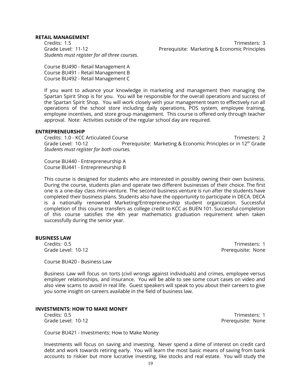#### **RETAIL MANAGEMENT**

*Students must register for all three courses.*

Credits: 1.5 Trimesters: 3 Grade Level: 11-12 **Prerequisite: Marketing & Economic Principles** 

Course BU490 - Retail Management A Course BU491 - Retail Management B Course BU492 - Retail Management C

If you want to advance your knowledge in marketing and management then managing the Spartan Spirit Shop is for you. You will be responsible for the overall operations and success of the Spartan Spirit Shop. You will work closely with your management team to effectively run all operations of the school store including daily operations, POS system, employee training, employee incentives, and store group management. This course is offered only through teacher approval. Note: Activities outside of the regular school day are required.

#### **ENTREPRENEURSHIP**

Credits: 1.0 - KCC Articulated Course Trimesters: 2 Grade Level: 10-12 **Prerequisite: Marketing & Economic Principles or in** 12<sup>th</sup> Grade *Students must register for both courses.*

Course BU440 - Entrepreneurship A Course BU441 - Entrepreneurship B

This course is designed for students who are interested in possibly owning their own business. During the course, students plan and operate two different businesses of their choice. The first one is a one-day class mini-venture. The second business venture is run after the students have completed their business plans. Students also have the opportunity to participate in DECA. DECA is a nationally renowned Marketing/Entrepreneurship student organization. Successful completion of this course transfers as college credit to KCC as BUEN 101. Successful completion of this course satisfies the 4th year mathematics graduation requirement when taken successfully during the senior year.

#### **BUSINESS LAW**

Credits: 0.5 Trimesters: 1 Grade Level: 10-12 **Preference 2018** Prerequisite: None

Course BU420 - Business Law

Business Law will focus on torts (civil wrongs against individuals) and crimes, employee versus employer relationships, and insurance. You will be able to see some court cases on video and also view scams to avoid in real life. Guest speakers will speak to you about their careers to give you some insight on careers available in the field of business law.

#### **INVESTMENTS: HOW TO MAKE MONEY**

Credits: 0.5 Trimesters: 1 Grade Level: 10-12 **Preference 2018** Prerequisite: None

Course BU421 - Investments: How to Make Money

Investments will focus on saving and investing. Never spend a dime of interest on credit card debt and work towards retiring early. You will learn the most basic means of saving from bank accounts to riskier but more lucrative investing, like stocks and real estate. You will study the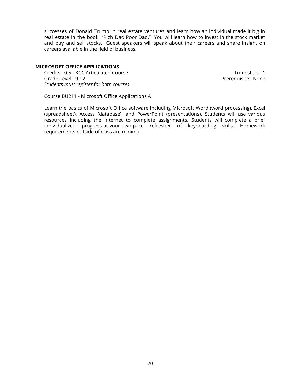successes of Donald Trump in real estate ventures and learn how an individual made it big in real estate in the book, "Rich Dad Poor Dad." You will learn how to invest in the stock market and buy and sell stocks. Guest speakers will speak about their careers and share insight on careers available in the field of business.

#### **MICROSOFT OFFICE APPLICATIONS**

Credits: 0.5 - KCC Articulated Course Trimesters: 1 Grade Level: 9-12 **Preference 2018** Prerequisite: None *Students must register for both courses.*

Course BU211 - Microsoft Office Applications A

Learn the basics of Microsoft Office software including Microsoft Word (word processing), Excel (spreadsheet), Access (database), and PowerPoint (presentations). Students will use various resources including the Internet to complete assignments. Students will complete a brief individualized progress-at-your-own-pace refresher of keyboarding skills. Homework requirements outside of class are minimal.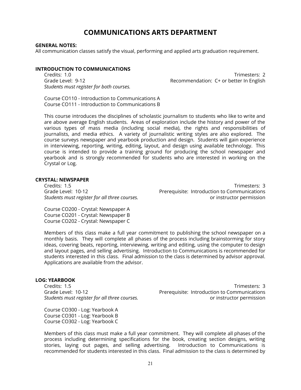### **COMMUNICATIONS ARTS DEPARTMENT**

#### <span id="page-20-0"></span>**GENERAL NOTES:**

All communication classes satisfy the visual, performing and applied arts graduation requirement.

#### **INTRODUCTION TO COMMUNICATIONS**

Credits: 1.0 Trimesters: 2 *Students must register for both courses.*

Grade Level: 9-12 **Grade Level: 9-12** Recommendation: C+ or better In English

Course CO110 - Introduction to Communications A Course CO111 - Introduction to Communications B

This course introduces the disciplines of scholastic journalism to students who like to write and are above average English students. Areas of exploration include the history and power of the various types of mass media (including social media), the rights and responsibilities of journalists, and media ethics. A variety of journalistic writing styles are also explored. The course surveys newspaper and yearbook production and design. Students will gain experience in interviewing, reporting, writing, editing, layout, and design using available technology. This course is intended to provide a training ground for producing the school newspaper and yearbook and is strongly recommended for students who are interested in working on the Crystal or Log.

#### **CRYSTAL: NEWSPAPER**

Credits: 1.5 Trimesters: 3 Grade Level: 10-12 **Prerequisite: Introduction to Communications** *Students must register for all three courses.* or instructor permission

Course CO200 - Crystal: Newspaper A Course CO201 - Crystal: Newspaper B Course CO202 - Crystal: Newspaper C

Members of this class make a full year commitment to publishing the school newspaper on a monthly basis. They will complete all phases of the process including brainstorming for story ideas, covering beats, reporting, interviewing, writing and editing, using the computer to design and layout pages, and selling advertising. Introduction to Communications is recommended for students interested in this class. Final admission to the class is determined by advisor approval. Applications are available from the advisor.

#### **LOG: YEARBOOK**

Credits: 1.5 Trimesters: 3 Grade Level: 10-12 **Premission Example 20** Prerequisite: Introduction to Communications *Students must register for all three courses.* or instructor permission

Course CO300 - Log: Yearbook A Course CO301 - Log: Yearbook B Course CO302 - Log: Yearbook C

Members of this class must make a full year commitment. They will complete all phases of the process including determining specifications for the book, creating section designs, writing stories, laying out pages, and selling advertising. Introduction to Communications is recommended for students interested in this class. Final admission to the class is determined by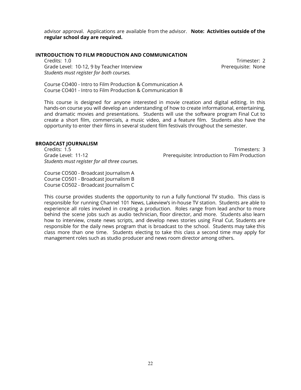advisor approval. Applications are available from the advisor. **Note: Activities outside of the regular school day are required.**

#### **INTRODUCTION TO FILM PRODUCTION AND COMMUNICATION**

Credits: 1.0 Trimester: 2 Grade Level: 10-12, 9 by Teacher Interview **Premium Communistie: None** Prerequisite: None *Students must register for both courses.*

Course CO400 - Intro to Film Production & Communication A Course CO401 - Intro to Film Production & Communication B

This course is designed for anyone interested in movie creation and digital editing. In this hands-on course you will develop an understanding of how to create informational, entertaining, and dramatic movies and presentations. Students will use the software program Final Cut to create a short film, commercials, a music video, and a feature film. Students also have the opportunity to enter their films in several student film festivals throughout the semester.

#### **BROADCAST JOURNALISM**

Credits: 1.5 Trimesters: 3 *Students must register for all three courses.*

Course CO500 - Broadcast Journalism A Course CO501 - Broadcast Journalism B Course CO502 - Broadcast Journalism C

Grade Level: 11-12 Prerequisite: Introduction to Film Production

This course provides students the opportunity to run a fully functional TV studio. This class is responsible for running Channel 101 News, Lakeview's in-house TV station. Students are able to experience all roles involved in creating a production. Roles range from lead anchor to more behind the scene jobs such as audio technician, floor director, and more. Students also learn how to interview, create news scripts, and develop news stories using Final Cut. Students are responsible for the daily news program that is broadcast to the school. Students may take this class more than one time. Students electing to take this class a second time may apply for management roles such as studio producer and news room director among others.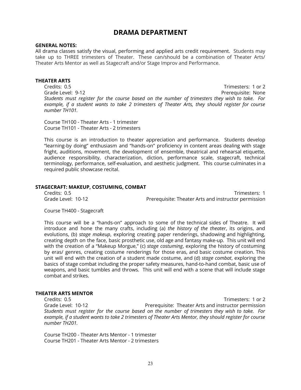### **DRAMA DEPARTMENT**

#### <span id="page-22-0"></span>**GENERAL NOTES:**

All drama classes satisfy the visual, performing and applied arts credit requirement. Students may take up to THREE trimesters of Theater. These can/should be a combination of Theater Arts/ Theater Arts Mentor as well as Stagecraft and/or Stage Improv and Performance.

#### **THEATER ARTS**

Credits: 0.5 Trimesters: 1 or 2 Grade Level: 9-12 Prerequisite: None *Students must register for the course based on the number of trimesters they wish to take. For example, if a student wants to take 2 trimesters of Theater Arts, they should register for course number TH101.*

Course TH100 - Theater Arts - 1 trimester Course TH101 - Theater Arts - 2 trimesters

This course is an introduction to theater appreciation and performance. Students develop "learning-by doing" enthusiasm and "hands-on" proficiency in content areas dealing with stage fright, auditions, movement, the development of ensemble, theatrical and rehearsal etiquette, audience responsibility, characterization, diction, performance scale, stagecraft, technical terminology, performance, self-evaluation, and aesthetic judgment. This course culminates in a required public showcase recital.

#### **STAGECRAFT: MAKEUP, COSTUMING, COMBAT**

Credits: 0.5 Trimesters: 1 Grade Level: 10-12 Prerequisite: Theater Arts and instructor permission

Course TH400 - Stagecraft

This course will be a "hands-on" approach to some of the technical sides of Theatre. It will introduce and hone the many crafts, including (a) *the history of the theater*, its origins, and evolutions, (b) *stage makeup*, exploring creating paper renderings, shadowing and highlighting, creating depth on the face, basic prosthetic use, old age and fantasy make-up. This unit will end with the creation of a "Makeup Morgue," (c) *stage costuming*, exploring the history of costuming by eras/ genres, creating costume renderings for those eras, and basic costume creation. This unit will end with the creation of a student made costume, and (d) *stage combat*, exploring the basics of stage combat including the proper safety measures, hand-to-hand combat, basic use of weapons, and basic tumbles and throws. This unit will end with a scene that will include stage combat and strikes.

#### **THEATER ARTS MENTOR**

Credits: 0.5 Trimesters: 1 or 2 Grade Level: 10-12 Prerequisite: Theater Arts and instructor permission *Students must register for the course based on the number of trimesters they wish to take. For* example, if a student wants to take 2 trimesters of Theater Arts Mentor, they should register for course *number TH201.*

Course TH200 - Theater Arts Mentor - 1 trimester Course TH201 - Theater Arts Mentor - 2 trimesters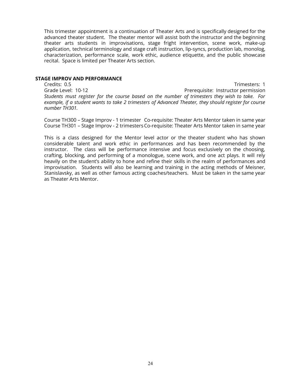This trimester appointment is a continuation of Theater Arts and is specifically designed for the advanced theater student. The theater mentor will assist both the instructor and the beginning theater arts students in improvisations, stage fright intervention, scene work, make-up application, technical terminology and stage craft instruction, lip-syncs, production lab, monolog, characterization, performance scale, work ethic, audience etiquette, and the public showcase recital. Space is limited per Theater Arts section.

#### **STAGE IMPROV AND PERFORMANCE**

Credits: 0.5 Trimesters: 1 Grade Level: 10-12 **Preference 20 All 2018** Prerequisite: Instructor permission *Students must register for the course based on the number of trimesters they wish to take. For example, if a student wants to take 2 trimesters of Advanced Theater, they should register for course number TH301.*

Course TH300 – Stage Improv - 1 trimester Co-requisite: Theater Arts Mentor taken in same year Course TH301 – Stage Improv - 2 trimesters Co-requisite: Theater Arts Mentor taken in same year

This is a class designed for the Mentor level actor or the theater student who has shown considerable talent and work ethic in performances and has been recommended by the instructor. The class will be performance intensive and focus exclusively on the choosing, crafting, blocking, and performing of a monologue, scene work, and one act plays. It will rely heavily on the student's ability to hone and refine their skills in the realm of performances and improvisation. Students will also be learning and training in the acting methods of Meisner, Stanislavsky, as well as other famous acting coaches/teachers. Must be taken in the same year as Theater Arts Mentor.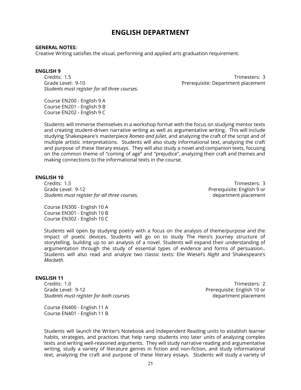### **ENGLISH DEPARTMENT**

#### <span id="page-24-0"></span>**GENERAL NOTES:**

Creative Writing satisfies the visual, performing and applied arts graduation requirement.

#### **ENGLISH 9**

Credits: 1.5 Trimesters: 3 Grade Level: 9-10 Prerequisite: Department placement *Students must register for all three courses.*

Course EN200 - English 9 A Course EN201 - English 9 B Course EN202 - English 9 C

Students will immerse themselves in a workshop format with the focus on studying mentor texts and creating student-driven narrative writing as well as argumentative writing. This will include studying Shakespeare's masterpiece *Romeo and Juliet*, and analyzing the craft of the script and of multiple artistic interpretations. Students will also study informational text, analyzing the craft and purpose of these literary essays. They will also study a novel and companion texts, focusing on the common theme of "coming of age" and "prejudice", analyzing their craft and themes and making connections to the informational texts in the course.

#### **ENGLISH 10**

Credits: 1.5 Trimesters: 3 Grade Level: 9-12 Prerequisite: English 9 or *Students must register for all three courses.* department placement

Course EN300 - English 10 A Course EN301 - English 10 B Course EN302 - English 10 C

Students will open by studying poetry with a focus on the analysis of theme/purpose and the impact of poetic devices. Students will go on to study The Hero's Journey structure of storytelling, building up to an analysis of a novel. Students will expand their understanding of argumentation through the study of essential types of evidence and forms of persuasion.. Students will also read and analyze two classic texts: Elie Wiesel's *Night* and Shakespeare's *Macbeth*.

#### **ENGLISH 11**

Credits: 1.0 Trimesters: 2 Grade Level: 9-12 **Preference 20 and 20 and 20 and 20 and 20 and 20 and 20 and 20 and 20 and 20 and 20 and 20 and 20 and 20 and 20 and 20 and 20 and 20 and 20 and 20 and 20 and 20 and 20 and 20 and 20 and 20 and 20 and 20** *Students must register for both courses.* department placement

Course EN400 - English 11 A Course EN401 - English 11 B

Students will launch the Writer's Notebook and Independent Reading units to establish learner habits, strategies, and practices that help ramp students into later units of analyzing complex texts and writing well-reasoned arguments. They will study narrative reading and argumentative writing, study a variety of literature genres in fiction and non-fiction, and study informational text, analyzing the craft and purpose of these literary essays. Students will study a variety of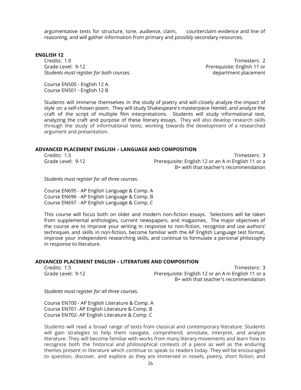argumentative texts for structure, tone, audience, claim, counterclaim evidence and line of reasoning, and will gather information from primary and possibly secondary resources.

#### **ENGLISH 12**

Credits: 1.0 Trimesters: 2 Grade Level: 9-12 Prerequisite: English 11 or *Students must register for both courses.* department placement

Course EN500 - English 12 A Course EN501 - English 12 B

Students will immerse themselves in the study of poetry and will closely analyze the impact of style on a self-chosen poem. They will study Shakespeare's masterpiece *Hamlet*, and analyze the craft of the script of multiple film interpretations. Students will study informational text, analyzing the craft and purpose of these literary essays. They will also develop research skills through the study of informational texts, working towards the development of a researched argument and presentation.

#### **ADVANCED PLACEMENT ENGLISH – LANGUAGE AND COMPOSITION**

| Credits: 1.5      | Trimesters: 3                                       |
|-------------------|-----------------------------------------------------|
| Grade Level: 9-12 | Prerequisite: English 12 or an A in English 11 or a |
|                   | B+ with that teacher's recommendation               |

*Students must register for all three courses.*

Course EN695 - AP English Language & Comp. A Course EN696 - AP English Language & Comp. B Course EN697 - AP English Language & Comp. C

This course will focus both on older and modern non-fiction essays. Selections will be taken from supplemental anthologies, current newspapers, and magazines. The major objectives of the course are to improve your writing in response to non-fiction, recognize and use authors' techniques and skills in non-fiction, become familiar with the AP English Language test format, improve your independent researching skills, and continue to formulate a personal philosophy in response to literature.

#### **ADVANCED PLACEMENT ENGLISH – LITERATURE AND COMPOSITION**

Credits: 1.5 Trimesters: 3 Grade Level: 9-12 **Prerequisite: English 12 or an A in English 11 or a** B+ with that teacher's recommendation

*Students must register for all three courses.*

Course EN700 - AP English Literature & Comp. A Course EN701- AP English Literature & Comp. B Course EN702- AP English Literature & Comp. C

Students will read a broad range of texts from classical and contemporary literature. Students will gain strategies to help them navigate, comprehend, annotate, interpret, and analyze literature. They will become familiar with works from many literary movements and learn how to recognize both the historical and philosophical contexts of a piece as well as the enduring themes present in literature which continue to speak to readers today. They will be encouraged to question, discover, and explore as they are immersed in novels, poetry, short fiction, and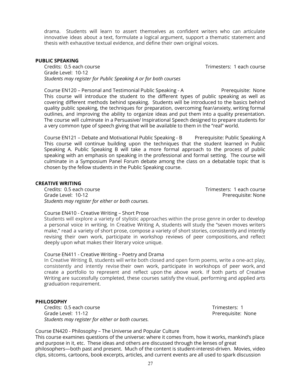drama. Students will learn to assert themselves as confident writers who can articulate innovative ideas about a text, formulate a logical argument, support a thematic statement and thesis with exhaustive textual evidence, and define their own original voices.

#### **PUBLIC SPEAKING**

Credits: 0.5 each course Trimesters: 1 each course Grade Level: 10-12 *Students may register for Public Speaking A or for both courses*

Course EN120 – Personal and Testimonial Public Speaking - A Prerequisite: None This course will introduce the student to the different types of public speaking as well as covering different methods behind speaking. Students will be introduced to the basics behind quality public speaking, the techniques for preparation, overcoming fear/anxiety, writing formal outlines, and improving the ability to organize ideas and put them into a quality presentation. The course will culminate in a Persuasive/ Inspirational Speech designed to prepare students for a very common type of speech giving that will be available to them in the "real" world.

Course EN121 – Debate and Motivational Public Speaking - B Prerequisite: Public Speaking A This course will continue building upon the techniques that the student learned in Public Speaking A. Public Speaking B will take a more formal approach to the process of public speaking with an emphasis on speaking in the professional and formal setting. The course will culminate in a Symposium Panel Forum debate among the class on a debatable topic that is chosen by the fellow students in the Public Speaking course.

#### **CREATIVE WRITING**

Credits: 0.5 each course Trimesters: 1 each course Grade Level: 10-12 Prerequisite: None *Students may register for either or both courses.*

#### Course EN410 - Creative Writing – Short Prose

Students will explore a variety of stylistic approaches within the prose genre in order to develop a personal voice in writing. In Creative Writing A, students will study the "seven moves writers make," read a variety of short prose, compose a variety of short stories, consistently and intently revising their own work, participate in workshop reviews of peer compositions, and reflect deeply upon what makes their literary voice unique.

#### Course EN411 - Creative Writing – Poetry and Drama

In Creative Writing B, students will write both closed and open form poems, write a one-act play, consistently and intently revise their own work, participate in workshops of peer work, and create a portfolio to represent and reflect upon the above work. If both parts of Creative Writing are successfully completed, these courses satisfy the visual, performing and applied arts graduation requirement.

#### **PHILOSOPHY**

Credits: 0.5 each course Trimesters: 1 Grade Level: 11-12 **Premium Community** Prerequisite: None *Students may register for either or both courses.*

Course EN420 - Philosophy – The Universe and Popular Culture

This course examines questions of the universe: where it comes from, how it works, mankind's place and purpose in it, etc. These ideas and others are discussed through the lenses of great philosophers—both past and present. Much of the content is student-interest-driven. Movies, video clips, sitcoms, cartoons, book excerpts, articles, and current events are all used to spark discussion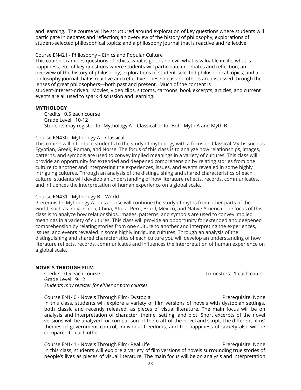and learning. The course will be structured around exploration of key questions where students will participate in debates and reflection; an overview of the history of philosophy; explorations of student-selected philosophical topics; and a philosophy journal that is reactive and reflective.

#### Course EN421 - Philosophy – Ethics and Popular Culture

This course examines questions of ethics: what is good and evil, what is valuable in life, what is happiness, etc. of key questions where students will participate in debates and reflection; an overview of the history of philosophy; explorations of student-selected philosophical topics; and a philosophy journal that is reactive and reflective. These ideas and others are discussed through the lenses of great philosophers—both past and present. Much of the content is student-interest-driven. Movies, video clips, sitcoms, cartoons, book excerpts, articles, and current events are all used to spark discussion and learning.

#### **MYTHOLOGY**

Credits: 0.5 each course Grade Level: 10-12 Students may register for Mythology A – Classical or for Both Myth A and Myth B

#### Course EN430 - Mythology A – Classical

This course will introduce students to the study of mythology with a focus on Classical Myths such as Egyptian, Greek, Roman, and Norse. The focus of this class is to analyze how relationships, images, patterns, and symbols are used to convey implied meanings in a variety of cultures. This class will provide an opportunity for extended and deepened comprehension by relating stories from one culture to another and interpreting the experiences, issues, and events revealed in some highly intriguing cultures. Through an analysis of the distinguishing and shared characteristics of each culture, students will develop an understanding of how literature reflects, records, communicates, and influences the interpretation of human experience on a global scale.

#### Course EN431 - Mythology B – World

Prerequisite: Mythology A: This course will continue the study of myths from other parts of the world, such as India, China, China, Africa, Peru, Brazil, Mexico, and Native America. The focus of this class is to analyze how relationships, images, patterns, and symbols are used to convey implied meanings in a variety of cultures. This class will provide an opportunity for extended and deepened comprehension by relating stories from one culture to another and interpreting the experiences, issues, and events revealed in some highly intriguing cultures. Through an analysis of the distinguishing and shared characteristics of each culture you will develop an understanding of how literature reflects, records, communicates and influences the interpretation of human experience on a global scale.

#### **NOVELS THROUGH FILM**

Credits: 0.5 each course Trimesters: 1 each course Grade Level: 9-12 *Students may register for either or both courses.*

Course EN140 - Novels Through Film- Dystopia **Premier Course Prerequisite: None** In this class, students will explore a variety of film versions of novels with dystopian settings, both classic and recently released, as pieces of visual literature. The main focus will be on analysis and interpretation of character, theme, setting, and plot. Short excerpts of the novel versions will be analyzed for comparison of the craft of the novel and script. The different films' themes of government control, individual freedoms, and the happiness of society also will be compared to each other.

Course EN141 - Novels Through Film- Real Life **Premission Course Course Prerequisite: None** In this class, students will explore a variety of film versions of novels surrounding true stories of people's lives as pieces of visual literature. The main focus will be on analysis and interpretation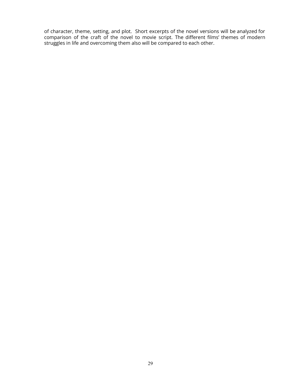of character, theme, setting, and plot. Short excerpts of the novel versions will be analyzed for comparison of the craft of the novel to movie script. The different films' themes of modern struggles in life and overcoming them also will be compared to each other.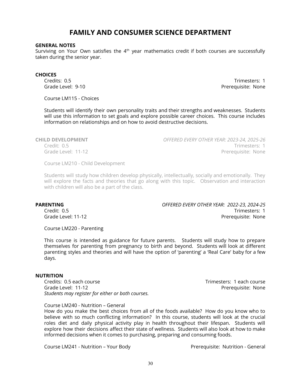### **FAMILY AND CONSUMER SCIENCE DEPARTMENT**

#### <span id="page-29-0"></span>**GENERAL NOTES**

Surviving on Your Own satisfies the  $4^{\text{th}}$  year mathematics credit if both courses are successfully taken during the senior year.

#### **CHOICES**

Credits: 0.5 Trimesters: 1<br>Grade Level: 9-10 Trimesters: 1 Prerequisite: None

Course LM115 - Choices

Students will identify their own personality traits and their strengths and weaknesses. Students will use this information to set goals and explore possible career choices. This course includes information on relationships and on how to avoid destructive decisions.

**CHILD DEVELOPMENT** *OFFERED EVERY OTHER YEAR: 2023-24, 2025-26* Credit: 0.5 Trimesters: 1 Grade Level: 11-12 **Preference Level: 11-12** 

Course LM210 - Child Development

Students will study how children develop physically, intellectually, socially and emotionally. They will explore the facts and theories that go along with this topic. Observation and interaction with children will also be a part of the class.

**PARENTING** *OFFERED EVERY OTHER YEAR: 2022-23, 2024-25* Credit: 0.5 Trimesters: 1 Grade Level: 11-12 Prerequisite: None

Course LM220 - Parenting

This course is intended as guidance for future parents. Students will study how to prepare themselves for parenting from pregnancy to birth and beyond. Students will look at different parenting styles and theories and will have the option of 'parenting' a 'Real Care' baby for a few days.

#### **NUTRITION**

Credits: 0.5 each course Trimesters: 1 each course Grade Level: 11-12 **Preference Level: 11-12** *Students may register for either or both courses.*

Course LM240 - Nutrition – General

How do you make the best choices from all of the foods available? How do you know who to believe with so much conflicting information? In this course, students will look at the crucial roles diet and daily physical activity play in health throughout their lifespan. Students will explore how their decisions affect their state of wellness. Students will also look at how to make informed decisions when it comes to purchasing, preparing and consuming foods.

Course LM241 - Nutrition – Your Body Prerequisite: Nutrition - General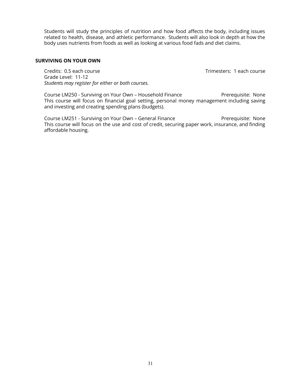Students will study the principles of nutrition and how food affects the body, including issues related to health, disease, and athletic performance. Students will also look in depth at how the body uses nutrients from foods as well as looking at various food fads and diet claims.

#### **SURVIVING ON YOUR OWN**

Credits: 0.5 each course Trimesters: 1 each course Grade Level: 11-12 *Students may register for either or both courses.*

Course LM250 - Surviving on Your Own – Household Finance Prerequisite: None This course will focus on financial goal setting, personal money management including saving and investing and creating spending plans (budgets).

Course LM251 - Surviving on Your Own – General Finance Prerequisite: None This course will focus on the use and cost of credit, securing paper work, insurance, and finding affordable housing.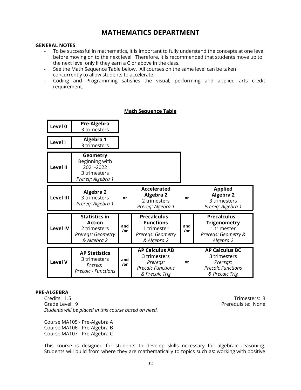### **MATHEMATICS DEPARTMENT**

#### <span id="page-31-0"></span>**GENERAL NOTES**

- To be successful in mathematics, it is important to fully understand the concepts at one level before moving on to the next level. Therefore, it is recommended that students move up to the next level only if they earn a C or above in the class.
- See the Math Sequence Table below. All courses on the same level can be taken concurrently to allow students to accelerate.
- Coding and Programming satisfies the visual, performing and applied arts credit requirement.

| Level 0          | Pre-Algebra<br>3 trimesters                                                               |            |                                                                                                 |            |                                                                                                 |
|------------------|-------------------------------------------------------------------------------------------|------------|-------------------------------------------------------------------------------------------------|------------|-------------------------------------------------------------------------------------------------|
| Level I          | <b>Algebra 1</b><br>3 trimesters                                                          |            |                                                                                                 |            |                                                                                                 |
| <b>Level II</b>  | Geometry<br>Beginning with<br>2021-2022<br>3 trimesters<br>Prereq: Algebra 1              |            |                                                                                                 |            |                                                                                                 |
| <b>Level III</b> | <b>Algebra 2</b><br>3 trimesters<br>Prereq: Algebra 1                                     | or         | <b>Accelerated</b><br><b>Algebra 2</b><br>2 trimesters<br>Prereq: Algebra 1                     | or         | <b>Applied</b><br>Algebra 2<br>3 trimesters<br>Prereq: Algebra 1                                |
| <b>Level IV</b>  | <b>Statistics in</b><br><b>Action</b><br>2 trimesters<br>Preregs: Geometry<br>& Algebra 2 | and<br>/or | <b>Precalculus -</b><br><b>Functions</b><br>1 trimester<br>Preregs: Geometry<br>& Algebra 2     | and<br>/or | <b>Precalculus -</b><br><b>Trigonometry</b><br>1 trimester<br>Preregs: Geometry &<br>Algebra 2  |
| <b>Level V</b>   | <b>AP Statistics</b><br>3 trimesters<br>Prereq:<br><b>Precalc - Functions</b>             | and<br>/or | <b>AP Calculus AB</b><br>3 trimesters<br>Preregs:<br><b>Precalc Functions</b><br>& Precalc Trig | or         | <b>AP Calculus BC</b><br>3 trimesters<br>Preregs:<br><b>Precalc Functions</b><br>& Precalc Trig |

#### **Math Sequence Table**

#### **PRE-ALGEBRA**

Credits: 1.5 Trimesters: 3 Grade Level: 9 **Preference Level: 9** Prerequisite: None *Students will be placed in this course based on need.*

Course MA105 - Pre-Algebra A Course MA106 - Pre-Algebra B Course MA107 - Pre-Algebra C

This course is designed for students to develop skills necessary for algebraic reasoning. Students will build from where they are mathematically to topics such as: working with positive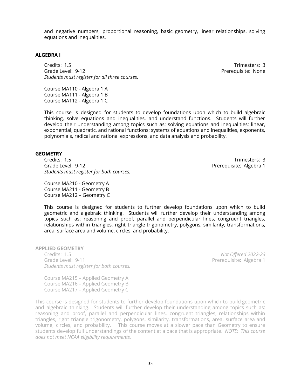and negative numbers, proportional reasoning, basic geometry, linear relationships, solving equations and inequalities.

#### **ALGEBRA I**

Credits: 1.5 Trimesters: 3 Grade Level: 9-12 Prerequisite: None *Students must register for all three courses.*

Course MA110 - Algebra 1 A Course MA111 - Algebra 1 B Course MA112 - Algebra 1 C

This course is designed for students to develop foundations upon which to build algebraic thinking, solve equations and inequalities, and understand functions. Students will further develop their understanding among topics such as: solving equations and inequalities; linear, exponential, quadratic, and rational functions; systems of equations and inequalities, exponents, polynomials, radical and rational expressions, and data analysis and probability.

#### **GEOMETRY**

Credits: 1.5 Trimesters: 3 Grade Level: 9-12 **Preference 2018** Prerequisite: Algebra 1 *Students must register for both courses.*

Course MA210 - Geometry A Course MA211 - Geometry B Course MA212 – Geometry C

This course is designed for students to further develop foundations upon which to build geometric and algebraic thinking. Students will further develop their understanding among topics such as: reasoning and proof, parallel and perpendicular lines, congruent triangles, relationships within triangles, right triangle trigonometry, polygons, similarity, transformations, area, surface area and volume, circles, and probability.

**APPLIED GEOMETRY**

Credits: 1.5 *Not Offered 2022-23* Grade Level: 9-11 **Premier and American** Prerequisite: Algebra 1 *Students must register for both courses.*

Course MA215 – Applied Geometry A Course MA216 – Applied Geometry B Course MA217 – Applied Geometry C

This course is designed for students to further develop foundations upon which to build geometric and algebraic thinking. Students will further develop their understanding among topics such as: reasoning and proof, parallel and perpendicular lines, congruent triangles, relationships within triangles, right triangle trigonometry, polygons, similarity, transformations, area, surface area and volume, circles, and probability. This course moves at a slower pace than Geometry to ensure students develop full understandings of the content at a pace that is appropriate. *NOTE: This course does not meet NCAA eligibility requirements.*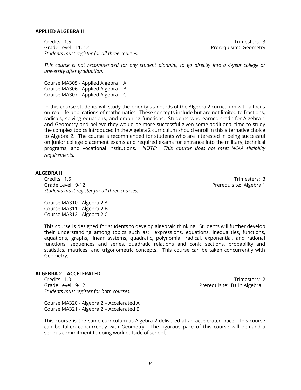#### **APPLIED ALGEBRA II**

Credits: 1.5 Trimesters: 3 Grade Level: 11, 12 **Preference 20 August 20 August 20 August** 20 August 20 **Prerequisite: Geometry** *Students must register for all three courses.*

*This course is not recommended for any student planning to go directly into a 4-year college or university after graduation.*

Course MA305 - Applied Algebra II A Course MA306 - Applied Algebra II B Course MA307 - Applied Algebra II C

In this course students will study the priority standards of the Algebra 2 curriculum with a focus on real-life applications of mathematics. These concepts include but are not limited to fractions, radicals, solving equations, and graphing functions. Students who earned credit for Algebra 1 and Geometry and believe they would be more successful given some additional time to study the complex topics introduced in the Algebra 2 curriculum should enroll in this alternative choice to Algebra 2. The course is recommended for students who are interested in being successful on junior college placement exams and required exams for entrance into the military, technical programs, and vocational institutions. *NOTE: This course does not meet NCAA eligibility requirements.*

#### **ALGEBRA II**

Credits: 1.5 Trimesters: 3 Grade Level: 9-12 Prerequisite: Algebra 1 *Students must register for all three courses.*

Course MA310 - Algebra 2 A Course MA311 - Algebra 2 B Course MA312 - Algebra 2 C

This course is designed for students to develop algebraic thinking. Students will further develop their understanding among topics such as: expressions, equations, inequalities, functions, equations, graphs, linear systems, quadratic, polynomial, radical, exponential, and rational functions, sequences and series, quadratic relations and conic sections, probability and statistics, matrices, and trigonometric concepts. This course can be taken concurrently with Geometry.

#### **ALGEBRA 2 – ACCELERATED**

Credits: 1.0 Trimesters: 2 Grade Level: 9-12 **Premier and Contract Contract Contract Contract Contract Contract Contract Contract Contract Contract Contract Contract Contract Contract Contract Contract Contract Contract Contract Contract Contract Co** *Students must register for both courses.*

Course MA320 - Algebra 2 – Accelerated A Course MA321 - Algebra 2 – Accelerated B

This course is the same curriculum as Algebra 2 delivered at an accelerated pace. This course can be taken concurrently with Geometry. The rigorous pace of this course will demand a serious commitment to doing work outside of school.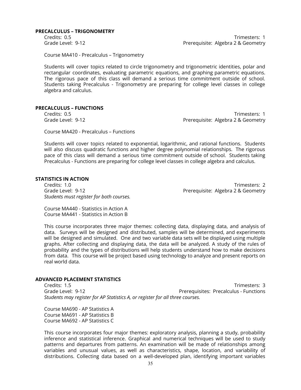#### **PRECALCULUS – TRIGONOMETRY**

Credits: 0.5 Trimesters: 1 Grade Level: 9-12 **Premation Controller Serverse Prefequisite:** Algebra 2 & Geometry

Course MA410 - Precalculus – Trigonometry

Students will cover topics related to circle trigonometry and trigonometric identities, polar and rectangular coordinates, evaluating parametric equations, and graphing parametric equations. The rigorous pace of this class will demand a serious time commitment outside of school. Students taking Precalculus - Trigonometry are preparing for college level classes in college algebra and calculus.

#### **PRECALCULUS – FUNCTIONS**

Credits: 0.5 Trimesters: 1 Grade Level: 9-12 Prerequisite: Algebra 2 & Geometry

Course MA420 - Precalculus – Functions

Students will cover topics related to exponential, logarithmic, and rational functions. Students will also discuss quadratic functions and higher degree polynomial relationships. The rigorous pace of this class will demand a serious time commitment outside of school. Students taking Precalculus - Functions are preparing for college level classes in college algebra and calculus.

#### **STATISTICS IN ACTION**

Credits: 1.0 Trimesters: 2 Grade Level: 9-12 Prerequisite: Algebra 2 & Geometry *Students must register for both courses.*

Course MA440 - Statistics in Action A Course MA441 - Statistics in Action B

This course incorporates three major themes: collecting data, displaying data, and analysis of data. Surveys will be designed and distributed, samples will be determined, and experiments will be designed and simulated. One and two variable data sets will be displayed using multiple graphs. After collecting and displaying data, the data will be analyzed. A study of the rules of probability and the types of distributions will help students understand how to make decisions from data. This course will be project based using technology to analyze and present reports on real world data.

#### **ADVANCED PLACEMENT STATISTICS**

Credits: 1.5 Trimesters: 3 Grade Level: 9-12 **Preference 20 All 20 All 20 All 20 All 20 All 20 All 20 All 20 All 20 All 20 All 20 All 20 Al** *Students may register for AP Statistics A, or register for all three courses.*

Course MA690 - AP Statistics A Course MA691 - AP Statistics B Course MA692 - AP Statistics C

This course incorporates four major themes: exploratory analysis, planning a study, probability inference and statistical inference. Graphical and numerical techniques will be used to study patterns and departures from patterns. An examination will be made of relationships among variables and unusual values, as well as characteristics, shape, location, and variability of distributions. Collecting data based on a well-developed plan, identifying important variables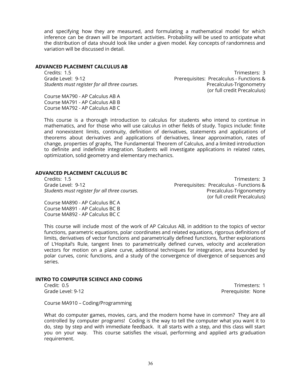and specifying how they are measured, and formulating a mathematical model for which inference can be drawn will be important activities. Probability will be used to anticipate what the distribution of data should look like under a given model. Key concepts of randomness and variation will be discussed in detail.

#### **ADVANCED PLACEMENT CALCULUS AB**

Credits: 1.5 Trimesters: 3 Grade Level: 9-12 **Prerequisites: Precalculus - Functions &** *Students must register for all three courses.* Precalculus-Trigonometry

Course MA790 - AP Calculus AB A Course MA791 - AP Calculus AB B Course MA792 - AP Calculus AB C

This course is a thorough introduction to calculus for students who intend to continue in mathematics, and for those who will use calculus in other fields of study. Topics include: finite and nonexistent limits, continuity, definition of derivatives, statements and applications of theorems about derivatives and applications of derivatives, linear approximation, rates of change, properties of graphs, The Fundamental Theorem of Calculus, and a limited introduction to definite and indefinite integration. Students will investigate applications in related rates, optimization, solid geometry and elementary mechanics.

#### **ADVANCED PLACEMENT CALCULUS BC**

Grade Level: 9-12 **Preference 20 All 20 All 20 All 20 All 20 All 20 All 20 All 20 All 20 All 20 All 20 All 20 A** *Students must register for all three courses.* Precalculus-Trigonometry

Course MA890 - AP Calculus BC A Course MA891 - AP Calculus BC B Course MA892 - AP Calculus BC C

Credits: 1.5 Trimesters: 3 (or full credit Precalculus)

This course will include most of the work of AP Calculus AB, in addition to the topics of vector functions, parametric equations, polar coordinates and related equations, rigorous definitions of limits, derivatives of vector functions and parametrically defined functions, further explorations of L'Hopital's Rule, tangent lines to parametrically defined curves, velocity and acceleration vectors for motion on a plane curve, additional techniques for integration, area bounded by polar curves, conic functions, and a study of the convergence of divergence of sequences and series.

#### **INTRO TO COMPUTER SCIENCE AND CODING**

Credit: 0.5 Trimesters: 1 Grade Level: 9-12 **Preference Controller Serverse Controller** Prerequisite: None

Course MA910 – Coding/Programming

What do computer games, movies, cars, and the modern home have in common? They are all controlled by computer programs! Coding is the way to tell the computer what you want it to do, step by step and with immediate feedback. It all starts with a step, and this class will start you on your way. This course satisfies the visual, performing and applied arts graduation requirement.

(or full credit Precalculus)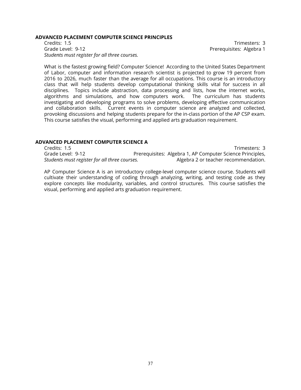#### **ADVANCED PLACEMENT COMPUTER SCIENCE PRINCIPLES**

Credits: 1.5 Trimesters: 3 Grade Level: 9-12 **Preference 2018** Prerequisites: Algebra 1 *Students must register for all three courses.*

What is the fastest growing field? Computer Science! According to the United States Department of Labor, computer and information research scientist is projected to grow 19 percent from 2016 to 2026, much faster than the average for all occupations. This course is an introductory class that will help students develop computational thinking skills vital for success in all disciplines. Topics include abstraction, data processing and lists, how the internet works, algorithms and simulations, and how computers work. The curriculum has students investigating and developing programs to solve problems, developing effective communication and collaboration skills. Current events in computer science are analyzed and collected, provoking discussions and helping students prepare for the in-class portion of the AP CSP exam. This course satisfies the visual, performing and applied arts graduation requirement.

# **ADVANCED PLACEMENT COMPUTER SCIENCE A**

Credits: 1.5 Trimesters: 3 Grade Level: 9-12 **Prerequisites: Algebra 1, AP Computer Science Principles,** *Students must register for all three courses.* Algebra 2 or teacher recommendation.

AP Computer Science A is an introductory college-level computer science course. Students will cultivate their understanding of coding through analyzing, writing, and testing code as they explore concepts like modularity, variables, and control structures. This course satisfies the visual, performing and applied arts graduation requirement.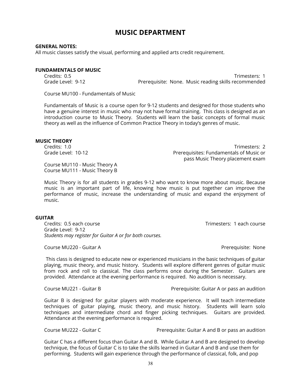# **MUSIC DEPARTMENT**

### **GENERAL NOTES:**

All music classes satisfy the visual, performing and applied arts credit requirement.

# **FUNDAMENTALS OF MUSIC**

Credits: 0.5 Trimesters: 1 Grade Level: 9-12 **Prerequisite: None. Music reading skills recommended** 

Course MU100 - Fundamentals of Music

Fundamentals of Music is a course open for 9-12 students and designed for those students who have a genuine interest in music who may not have formal training. This class is designed as an introduction course to Music Theory. Students will learn the basic concepts of formal music theory as well as the influence of Common Practice Theory in today's genres of music.

#### **MUSIC THEORY**

Credits: 1.0 Trimesters: 2 Grade Level: 10-12 **Premission Communisties: Fundamentals of Music or** pass Music Theory placement exam

Course MU110 - Music Theory A Course MU111 - Music Theory B

Music Theory is for all students in grades 9-12 who want to know more about music. Because music is an important part of life, knowing how music is put together can improve the performance of music, increase the understanding of music and expand the enjoyment of music.

#### **GUITAR**

Credits: 0.5 each course Trimesters: 1 each course Grade Level: 9-12 *Students may register for Guitar A or for both courses.*

Course MU220 - Guitar A Prerequisite: None

This class is designed to educate new or experienced musicians in the basic techniques of guitar playing, music theory, and music history. Students will explore different genres of guitar music from rock and roll to classical. The class performs once during the Semester. Guitars are provided. Attendance at the evening performance is required. No audition is necessary.

Course MU221 - Guitar B Prerequisite: Guitar A or pass an audition

Guitar B is designed for guitar players with moderate experience. It will teach intermediate techniques of guitar playing, music theory, and music history. Students will learn solo techniques and intermediate chord and finger picking techniques. Guitars are provided. Attendance at the evening performance is required.

Course MU222 - Guitar C Prerequisite: Guitar A and B or pass an audition

Guitar C has a different focus than Guitar A and B. While Guitar A and B are designed to develop technique, the focus of Guitar C is to take the skills learned in Guitar A and B and use them for performing. Students will gain experience through the performance of classical, folk, and pop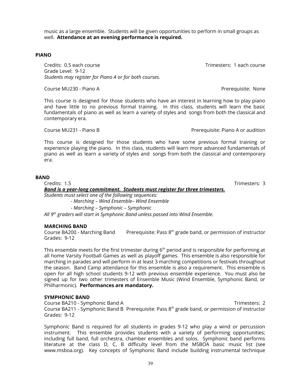music as a large ensemble. Students will be given opportunities to perform in small groups as well. **Attendance at an evening performance is required.**

# **PIANO**

Credits: 0.5 each course Trimesters: 1 each course Grade Level: 9-12 *Students may register for Piano A or for both courses.*

Course MU230 - Piano A Prerequisite: None

This course is designed for those students who have an interest in learning how to play piano and have little to no previous formal training. In this class, students will learn the basic fundamentals of piano as well as learn a variety of styles and songs from both the classical and contemporary era.

Course MU231 - Piano B Prerequisite: Piano A or audition

This course is designed for those students who have some previous formal training or experience playing the piano. In this class, students will learn more advanced fundamentals of piano as well as learn a variety of styles and songs from both the classical and contemporary era.

# **BAND**

Credits: 1.5 Trimesters: 3 *Band is a year-long commitment. Students must register for three trimesters. Students must select one of the following sequences: - Marching – Wind Ensemble– Wind Ensemble - Marching – Symphonic – Symphonic*

*All 9 th graders will start in Symphonic Band unless passed into Wind Ensemble.*

#### **MARCHING BAND**

Course BA200 - Marching Band Prerequisite: Pass 8<sup>th</sup> grade band, or permission of instructor Grades: 9-12

This ensemble meets for the first trimester during 6<sup>th</sup> period and is responsible for performing at all home Varsity Football Games as well as playoff games. This ensemble is also responsible for marching in parades and will perform in at least 3 marching competitions or festivals throughout the season. Band Camp attendance for this ensemble is also a requirement. This ensemble is open for all high school students 9-12 with previous ensemble experience. You must also be signed up for two other trimesters of Ensemble Music (Wind Ensemble, Symphonic Band, or Philharmonic). **Performances are mandatory.**

#### **SYMPHONIC BAND**

Course BA210 - Symphonic Band A Trimesters: 2 Course BA211 - Symphonic Band B Prerequisite: Pass  $8^{th}$  grade band, or permission of instructor Grades: 9-12

Symphonic Band is required for all students in grades 9-12 who play a wind or percussion instrument. This ensemble provides students with a variety of performing opportunities; including full band, full orchestra, chamber ensembles and solos. Symphonic band performs literature at the class D, C, B difficulty level from the MSBOA basic music list (see www.msboa.org). Key concepts of Symphonic Band include building instrumental technique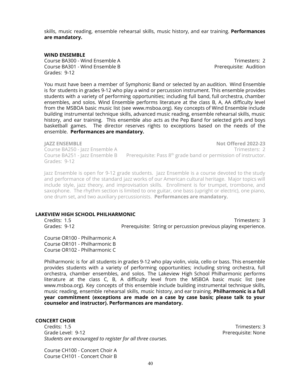skills, music reading, ensemble rehearsal skills, music history, and ear training. **Performances are mandatory.**

#### **WIND ENSEMBLE**

Course BA300 - Wind Ensemble A Trimesters: 2 Course BA301 - Wind Ensemble B Prerequisite: Audition Grades: 9-12

You must have been a member of Symphonic Band or selected by an audition. Wind Ensemble is for students in grades 9-12 who play a wind or percussion instrument. This ensemble provides students with a variety of performing opportunities; including full band, full orchestra, chamber ensembles, and solos. Wind Ensemble performs literature at the class B, A, AA difficulty level from the MSBOA basic music list (see www.msboa.org). Key concepts of Wind Ensemble include building instrumental technique skills, advanced music reading, ensemble rehearsal skills, music history, and ear training. This ensemble also acts as the Pep Band for selected girls and boys basketball games. The director reserves rights to exceptions based on the needs of the ensemble. **Performances are mandatory.**

Grades: 9-12

**JAZZ ENSEMBLE Not Offered 2022-23** Course BA250 - Jazz Ensemble A Trimesters: 2 Course BA251 - Jazz Ensemble B Prerequisite: Pass  $8<sup>th</sup>$  grade band or permission of instructor.

Jazz Ensemble is open for 9-12 grade students. Jazz Ensemble is a course devoted to the study and performance of the standard jazz works of our American cultural heritage. Major topics will include style, jazz theory, and improvisation skills. Enrollment is for trumpet, trombone, and saxophone. The rhythm section is limited to one guitar, one bass (upright or electric), one piano, one drum set, and two auxiliary percussionists. **Performances are mandatory.**

### **LAKEVIEW HIGH SCHOOL PHILHARMONIC**

Credits: 1.5 Trimesters: 3 Grades: 9-12 Prerequisite: String or percussion previous playing experience.

Course OR100 - Philharmonic A Course OR101 - Philharmonic B Course OR102 - Philharmonic C

Philharmonic is for all students in grades 9-12 who play violin, viola, cello or bass. This ensemble provides students with a variety of performing opportunities; including string orchestra, full orchestra, chamber ensembles, and solos. The Lakeview High School Philharmonic performs literature at the class C, B, A difficulty level from the MSBOA basic music list (see www.msboa.org). Key concepts of this ensemble include building instrumental technique skills, music reading, ensemble rehearsal skills, music history, and ear training. **Philharmonic is a full year commitment (exceptions are made on a case by case basis; please talk to your counselor and instructor). Performances are mandatory.**

#### **CONCERT CHOIR**

Credits: 1.5 Trimesters: 3 Grade Level: 9-12 Prerequisite: None *Students are encouraged to register for all three courses.*

Course CH100 - Concert Choir A Course CH101 - Concert Choir B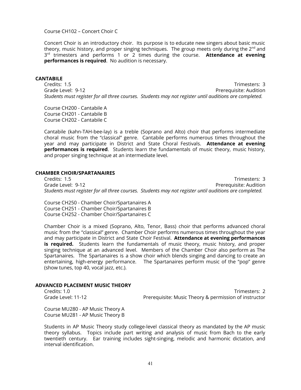Course CH102 – Concert Choir C

Concert Choir is an introductory choir. Its purpose is to educate new singers about basic music theory, music history, and proper singing techniques. The group meets only during the 2<sup>nd</sup> and 3 rd trimesters and performs 1 or 2 times during the course. **Attendance at evening performances is required**. No audition is necessary.

#### **CANTABILE**

Credits: 1.5 Trimesters: 3 Grade Level: 9-12 Prerequisite: Audition *Students must register for all three courses. Students may not register until auditions are completed.*

Course CH200 - Cantabile A Course CH201 - Cantabile B Course CH202 - Cantabile C

Cantabile (kahn-TAH-bee-lay) is a treble (Soprano and Alto) choir that performs intermediate choral music from the "classical" genre. Cantabile performs numerous times throughout the year and may participate in District and State Choral Festivals. **Attendance at evening performances is required**. Students learn the fundamentals of music theory, music history, and proper singing technique at an intermediate level.

# **CHAMBER CHOIR/SPARTANAIRES**

Credits: 1.5 Trimesters: 3 Grade Level: 9-12 Prerequisite: Audition *Students must register for all three courses. Students may not register until auditions are completed.*

Course CH250 - Chamber Choir/Spartanaires A Course CH251 - Chamber Choir/Spartanaires B Course CH252 - Chamber Choir/Spartanaires C

Chamber Choir is a mixed (Soprano, Alto, Tenor, Bass) choir that performs advanced choral music from the "classical" genre. Chamber Choir performs numerous times throughout the year and may participate in District and State Choir Festival. **Attendance at evening performances is required.** Students learn the fundamentals of music theory, music history, and proper singing technique at an advanced level. Members of the Chamber Choir also perform as The Spartanaires. The Spartanaires is a show choir which blends singing and dancing to create an entertaining, high-energy performance. The Spartanaires perform music of the "pop" genre (show tunes, top 40, vocal jazz, etc.).

#### **ADVANCED PLACEMENT MUSIC THEORY**

Credits: 1.0 Trimesters: 2 Grade Level: 11-12 **Prerequisite: Music Theory & permission of instructor** 

Course MU280 - AP Music Theory A Course MU281 - AP Music Theory B

Students in AP Music Theory study college-level classical theory as mandated by the AP music theory syllabus. Topics include part writing and analysis of music from Bach to the early twentieth century. Ear training includes sight-singing, melodic and harmonic dictation, and interval identification.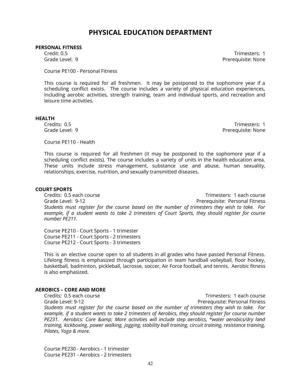# **PHYSICAL EDUCATION DEPARTMENT**

#### **PERSONAL FITNESS**

Credit: 0.5 Trimesters: 1 Grade Level: 9 Prerequisite: None

Course PE100 - Personal Fitness

This course is required for all freshmen. It may be postponed to the sophomore year if a scheduling conflict exists. The course includes a variety of physical education experiences, including aerobic activities, strength training, team and individual sports, and recreation and leisure time activities.

#### **HEALTH**

Credits: 0.5 Trimesters: 1 Grade Level: 9 Prerequisite: None

Course PE110 - Health

This course is required for all freshmen (it may be postponed to the sophomore year if a scheduling conflict exists). The course includes a variety of units in the health education area. These units include stress management, substance use and abuse, human sexuality, relationships, exercise, nutrition, and sexually transmitted diseases.

#### **COURT SPORTS**

Credits: 0.5 each course Trimesters: 1 each course Grade Level: 9-12 Prerequisite: Personal Fitness *Students must register for the course based on the number of trimesters they wish to take. For example, if a student wants to take 2 trimesters of Court Sports, they should register for course number PE211.*

Course PE210 - Court Sports - 1 trimester Course PE211 - Court Sports - 2 trimesters Course PE212 - Court Sports - 3 trimesters

This is an elective course open to all students in all grades who have passed Personal Fitness. Lifelong fitness is emphasized through participation in team handball volleyball, floor hockey, basketball, badminton, pickleball, lacrosse, soccer, Air Force football, and tennis. Aerobic fitness is also emphasized.

# **AEROBICS – CORE AND MORE**

Credits: 0.5 each course Trimesters: 1 each course Grade Level: 9-12 Prerequisite: Personal Fitness *Students must register for the course based on the number of trimesters they wish to take. For example, if a student wants to take 2 trimesters of Aerobics, they should register for course number PE231. Aerobics: Core & More activities will include step aerobics, \*water aerobics/dry land training, kickboxing, power walking, jogging, stability ball training, circuit training, resistance training, Pilates, Yoga & more.*

Course PE230 - Aerobics - 1 trimester Course PE231 - Aerobics - 2 trimesters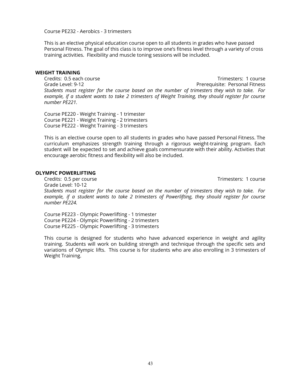Course PE232 - Aerobics - 3 trimesters

This is an elective physical education course open to all students in grades who have passed Personal Fitness. The goal of this class is to improve one's fitness level through a variety of cross training activities. Flexibility and muscle toning sessions will be included.

# **WEIGHT TRAINING**

Credits: 0.5 each course Trimesters: 1 course Grade Level: 9-12 Prerequisite: Personal Fitness *Students must register for the course based on the number of trimesters they wish to take. For example, if a student wants to take 2 trimesters of Weight Training, they should register for course number PE221.*

Course PE220 - Weight Training - 1 trimester Course PE221 - Weight Training - 2 trimesters Course PE222 - Weight Training - 3 trimesters

This is an elective course open to all students in grades who have passed Personal Fitness. The curriculum emphasizes strength training through a rigorous weight-training program. Each student will be expected to set and achieve goals commensurate with their ability. Activities that encourage aerobic fitness and flexibility will also be included.

#### **OLYMPIC POWERLIFTING**

Credits: 0.5 per course Trimesters: 1 course Grade Level: 10-12 *Students must register for the course based on the number of trimesters they wish to take. For example, if a student wants to take 2 trimesters of Powerlifting, they should register for course number PE224.*

Course PE223 - Olympic Powerlifting - 1 trimester Course PE224 - Olympic Powerlifting - 2 trimesters Course PE225 - Olympic Powerlifting - 3 trimesters

This course is designed for students who have advanced experience in weight and agility training. Students will work on building strength and technique through the specific sets and variations of Olympic lifts. This course is for students who are also enrolling in 3 trimesters of Weight Training.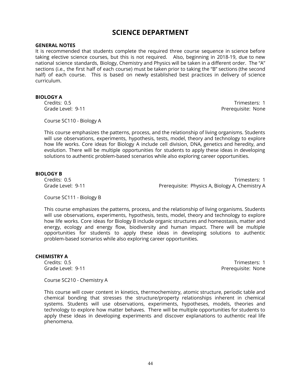# **SCIENCE DEPARTMENT**

#### **GENERAL NOTES**

It is recommended that students complete the required three course sequence in science before taking elective science courses, but this is not required. Also, beginning in 2018-19, due to new national science standards, Biology, Chemistry and Physics will be taken in a different order. The "A" sections (i.e., the first half of each course) must be taken prior to taking the "B" sections (the second half) of each course. This is based on newly established best practices in delivery of science curriculum.

#### **BIOLOGY A**

Credits: 0.5 Trimesters: 1 Grade Level: 9-11 **Preference Contract Contract Contract Contract Contract Contract Contract Contract Contract Contract Contract Contract Contract Contract Contract Contract Contract Contract Contract Contract Contract Con** 

Course SC110 - Biology A

This course emphasizes the patterns, process, and the relationship of living organisms. Students will use observations, experiments, hypothesis, tests, model, theory and technology to explore how life works. Core ideas for Biology A include cell division, DNA, genetics and heredity, and evolution. There will be multiple opportunities for students to apply these ideas in developing solutions to authentic problem-based scenarios while also exploring career opportunities.

### **BIOLOGY B**

Credits: 0.5 Trimesters: 1 Grade Level: 9-11 **Prerequisite: Physics A, Biology A, Chemistry A** 

Course SC111 - Biology B

This course emphasizes the patterns, process, and the relationship of living organisms. Students will use observations, experiments, hypothesis, tests, model, theory and technology to explore how life works. Core ideas for Biology B include organic structures and homeostasis, matter and energy, ecology and energy flow, biodiversity and human impact. There will be multiple opportunities for students to apply these ideas in developing solutions to authentic problem-based scenarios while also exploring career opportunities.

#### **CHEMISTRY A**

Credits: 0.5 Trimesters: 1 Grade Level: 9-11 **Preference Contract Contract Contract Contract Contract Contract Contract Contract Contract Contract Contract Contract Contract Contract Contract Contract Contract Contract Contract Contract Contract Con** 

Course SC210 - Chemistry A

This course will cover content in kinetics, thermochemistry, atomic structure, periodic table and chemical bonding that stresses the structure/property relationships inherent in chemical systems. Students will use observations, experiments, hypotheses, models, theories and technology to explore how matter behaves. There will be multiple opportunities for students to apply these ideas in developing experiments and discover explanations to authentic real life phenomena.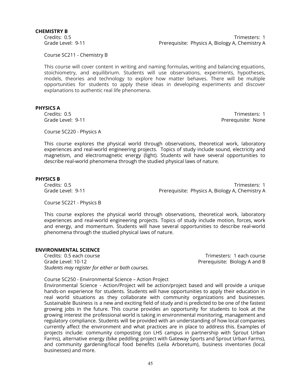#### **CHEMISTRY B**

Credits: 0.5 Trimesters: 1 Grade Level: 9-11 **Prerequisite: Physics A, Biology A, Chemistry A** 

Course SC211 - Chemistry B

This course will cover content in writing and naming formulas, writing and balancing equations, stoichiometry, and equilibrium. Students will use observations, experiments, hypotheses, models, theories and technology to explore how matter behaves. There will be multiple opportunities for students to apply these ideas in developing experiments and discover explanations to authentic real life phenomena.

# **PHYSICS A**

Credits: 0.5 Trimesters: 1 Grade Level: 9-11 **Preference Level: 9-11** Prerequisite: None

Course SC220 - Physics A

This course explores the physical world through observations, theoretical work, laboratory experiences and real-world engineering projects. Topics of study include sound, electricity and magnetism, and electromagnetic energy (light). Students will have several opportunities to describe real-world phenomena through the studied physical laws of nature.

#### **PHYSICS B**

Credits: 0.5 Trimesters: 1 Grade Level: 9-11 **Premistry A** Prerequisite: Physics A, Biology A, Chemistry A

Course SC221 - Physics B

This course explores the physical world through observations, theoretical work, laboratory experiences and real-world engineering projects. Topics of study include motion, forces, work and energy, and momentum. Students will have several opportunities to describe real-world phenomena through the studied physical laws of nature.

# **ENVIRONMENTAL SCIENCE**

Credits: 0.5 each course Trimesters: 1 each course Grade Level: 10-12 Prerequisite: Biology A and B *Students may register for either or both courses.*

Course SC250 - Environmental Science – Action Project

Environmental Science - Action/Project will be action/project based and will provide a unique hands-on experience for students. Students will have opportunities to apply their education in real world situations as they collaborate with community organizations and businesses. Sustainable Business is a new and exciting field of study and is predicted to be one of the fastest growing jobs in the future. This course provides an opportunity for students to look at the growing interest the professional world is taking in environmental monitoring, management and regulatory compliance. Students will be provided with an understanding of how local companies currently affect the environment and what practices are in place to address this. Examples of projects include: community composting (on LHS campus in partnership with Sprout Urban Farms), alternative energy (bike peddling project with Gateway Sports and Sprout Urban Farms), and community gardening/local food benefits (Leila Arboretum), business inventories (local businesses) and more.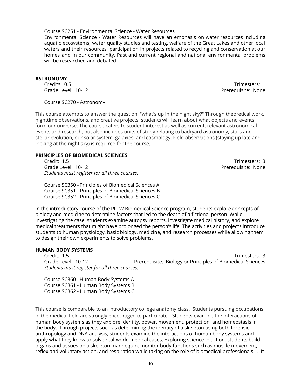### Course SC251 - Environmental Science - Water Resources

Environmental Science - Water Resources will have an emphasis on water resources including aquatic ecosystems, water quality studies and testing, welfare of the Great Lakes and other local waters and their resources, participation in projects related to recycling and conservation at our homes and in our community. Past and current regional and national environmental problems will be researched and debated.

# **ASTRONOMY**

Credits: 0.5 Trimesters: 1 Grade Level: 10-12 **Preference 20 Automobile: A Preference 20 Automobile: Prerequisite: None** 

Course SC270 - Astronomy

This course attempts to answer the question, "what's up in the night sky?" Through theoretical work, nighttime observations, and creative projects, students will learn about what objects and events form our universe. The course caters to student interest as well as current, relevant astronomical events and research, but also includes units of study relating to backyard astronomy, stars and stellar evolution, our solar system, galaxies, and cosmology. Field observations (staying up late and looking at the night sky) is required for the course.

# **PRINCIPLES OF BIOMEDICAL SCIENCES**

Credit: 1.5 Trimesters: 3 Grade Level: 10-12 **Preference Level: 10-12** *Students must register for all three courses.*

Course SC350 –Principles of Biomedical Sciences A Course SC351 - Principles of Biomedical Sciences B Course SC352 - Principles of Biomedical Sciences C

In the introductory course of the PLTW Biomedical Science program, students explore concepts of biology and medicine to determine factors that led to the death of a fictional person. While investigating the case, students examine autopsy reports, investigate medical history, and explore medical treatments that might have prolonged the person's life. The activities and projects introduce students to human physiology, basic biology, medicine, and research processes while allowing them to design their own experiments to solve problems.

# **HUMAN BODY SYSTEMS**

Credit: 1.5 Trimesters: 3 Grade Level: 10-12 Prerequisite: Biology or Principles of Biomedical Sciences *Students must register for all three courses.*

Course SC360 –Human Body Systems A Course SC361 - Human Body Systems B Course SC362 - Human Body Systems C

This course is comparable to an introductory college anatomy class. Students pursuing occupations in the medical field are strongly encouraged to participate. Students examine the interactions of human body systems as they explore identity, power, movement, protection, and homeostasis in the body. Through projects such as determining the identity of a skeleton using both forensic anthropology and DNA analysis, students examine the interactions of human body systems and apply what they know to solve real-world medical cases. Exploring science in action, students build organs and tissues on a skeleton mannequin, monitor body functions such as muscle movement, reflex and voluntary action, and respiration while taking on the role of biomedical professionals. . It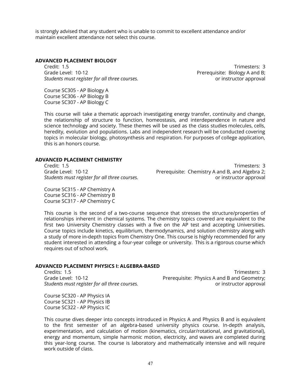is strongly advised that any student who is unable to commit to excellent attendance and/or maintain excellent attendance not select this course.

#### **ADVANCED PLACEMENT BIOLOGY**

Credit: 1.5 Trimesters: 3 Grade Level: 10-12 **Preference A** Prerequisite: Biology A and B; *Students must register for all three courses.* or instructor approval

Course SC305 - AP Biology A Course SC306 - AP Biology B Course SC307 - AP Biology C

This course will take a thematic approach investigating energy transfer, continuity and change, the relationship of structure to function, homeostasis, and interdependence in nature and science technology and society. These themes will be used as the class studies molecules, cells, heredity, evolution and populations. Labs and independent research will be conducted covering topics in molecular biology, photosynthesis and respiration. For purposes of college application, this is an honors course.

# **ADVANCED PLACEMENT CHEMISTRY**

Course SC315 - AP Chemistry A Course SC316 - AP Chemistry B Course SC317 - AP Chemistry C

Credit: 1.5 Trimesters: 3<br>Grade Level: 10-12 **Trimesters: 3** Prerequisite: Chemistry A and B, and Algebra 2; Prerequisite: Chemistry A and B, and Algebra 2; *Students must register for all three courses.* or instructor approval

This course is the second of a two-course sequence that stresses the structure/properties of relationships inherent in chemical systems. The chemistry topics covered are equivalent to the first two University Chemistry classes with a five on the AP test and accepting Universities. Course topics include kinetics, equilibrium, thermodynamics, and solution chemistry along with a study of more in-depth topics from Chemistry One. This course is highly recommended for any student interested in attending a four-year college or university. This is a rigorous course which requires out of school work.

# **ADVANCED PLACEMENT PHYSICS I: ALGEBRA-BASED**

Credits: 1.5 Trimesters: 3 Grade Level: 10-12 **Preference All America** Prerequisite: Physics A and B and Geometry; *Students must register for all three courses.* or instructor approval

Course SC320 - AP Physics IA Course SC321 - AP Physics IB Course SC322 - AP Physics IC

This course dives deeper into concepts introduced in Physics A and Physics B and is equivalent to the first semester of an algebra-based university physics course. In-depth analysis, experimentation, and calculation of motion (kinematics, circular/rotational, and gravitational), energy and momentum, simple harmonic motion, electricity, and waves are completed during this year-long course. The course is laboratory and mathematically intensive and will require work outside of class.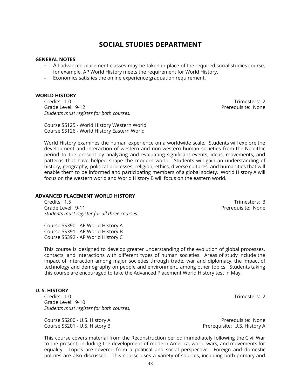This course covers material from the Reconstruction period immediately following the Civil War to the present, including the development of modern America, world wars, and movements for equality. Topics are covered from a political and social perspective. Foreign and domestic

# **SOCIAL STUDIES DEPARTMENT**

# **GENERAL NOTES**

- All advanced placement classes may be taken in place of the required social studies course, for example, AP World History meets the requirement for World History.
- Economics satisfies the online experience graduation requirement.

### **WORLD HISTORY**

Credits: 1.0 Trimesters: 2 Grade Level: 9-12 Prerequisite: None *Students must register for both courses.*

Course SS125 - World History Western World Course SS126 - World History Eastern World

World History examines the human experience on a worldwide scale. Students will explore the development and interaction of western and non-western human societies from the Neolithic period to the present by analyzing and evaluating significant events, ideas, movements, and patterns that have helped shape the modern world. Students will gain an understanding of history, geography, political processes, religion, ethics, diverse cultures, and humanities that will enable them to be informed and participating members of a global society. World History A will focus on the western world and World History B will focus on the eastern world.

# **ADVANCED PLACEMENT WORLD HISTORY**

Credits: 1.5 Trimesters: 3 Grade Level: 9-11 **Preference Controller Serverse Controller** Prerequisite: None *Students must register for all three courses.*

Course SS390 - AP World History A Course SS391 - AP World History B Course SS392 - AP World History C

This course is designed to develop greater understanding of the evolution of global processes, contacts, and interactions with different types of human societies. Areas of study include the impact of interaction among major societies through trade, war and diplomacy, the impact of technology and demography on people and environment, among other topics. Students taking this course are encouraged to take the Advanced Placement World History test in May.

# **U. S. HISTORY**

Credits: 1.0 Trimesters: 2 Grade Level: 9-10 *Students must register for both courses.*

Course SS200 - U.S. History A **Preference SS200 - U.S. History A** Prerequisite: None Course SS201 - U.S. History B Prerequisite: U.S. History A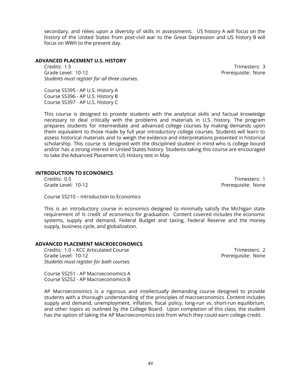secondary, and relies upon a diversity of skills in assessments. US history A will focus on the history of the United States from post-civil war to the Great Depression and US history B will focus on WWII to the present day.

# **ADVANCED PLACEMENT U.S. HISTORY**

Credits: 1.5 Trimesters: 3 Grade Level: 10-12 **Preference 2018** Prerequisite: None *Students must register for all three courses.*

Course SS395 - AP U.S. History A Course SS396 - AP U.S. History B Course SS397 - AP U.S. History C

This course is designed to provide students with the analytical skills and factual knowledge necessary to deal critically with the problems and materials in U.S. history. The program prepares students for intermediate and advanced college courses by making demands upon them equivalent to those made by full year introductory college courses. Students will learn to assess historical materials and to weigh the evidence and interpretations presented in historical scholarship. This course is designed with the disciplined student in mind who is college bound and/or has a strong interest in United States history. Students taking this course are encouraged to take the Advanced Placement US History test in May.

# **INTRODUCTION TO ECONOMICS**

Credits: 0.5 Trimesters: 1 Grade Level: 10-12 **Preference 20 and 20 and 20 and 20 and 20 and 20 and 20 and 20 and 20 and 20 and 20 and 20 and 20 and 20 and 20 and 20 and 20 and 20 and 20 and 20 and 20 and 20 and 20 and 20 and 20 and 20 and 20 and 20** 

Course SS210 – Introduction to Economics

This is an introductory course in economics designed to minimally satisfy the Michigan state requirement of  $\frac{1}{2}$  credit of economics for graduation. Content covered includes the economic systems, supply and demand, Federal Budget and taxing, Federal Reserve and the money supply, business cycle, and globalization.

AP Macroeconomics is a rigorous and intellectually demanding course designed to provide students with a thorough understanding of the principles of macroeconomics. Content includes supply and demand, unemployment, inflation, fiscal policy, long-run vs. short-run equilibrium, and other topics as outlined by the College Board. Upon completion of this class, the student has the option of taking the AP Macroeconomics test from which they could earn college credit.

### **ADVANCED PLACEMENT MACROECONOMICS**

Credits: 1.0 – KCC Articulated Course Trimesters: 2 Grade Level: 10-12 **Preference 2018** Prerequisite: None *Students must register for both courses.*

Course SS251 - AP Macroeconomics A Course SS252 - AP Macroeconomics B

49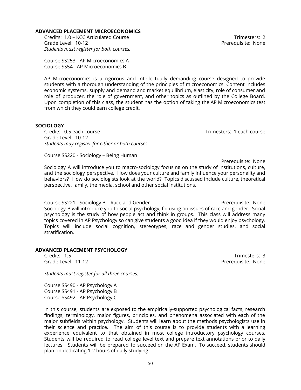In this course, students are exposed to the empirically-supported psychological facts, research findings, terminology, major figures, principles, and phenomena associated with each of the major subfields within psychology. Students will learn about the methods psychologists use in their science and practice. The aim of this course is to provide students with a learning experience equivalent to that obtained in most college introductory psychology courses. Students will be required to read college level text and prepare text annotations prior to daily lectures. Students will be prepared to succeed on the AP Exam. To succeed, students should plan on dedicating 1-2 hours of daily studying.

perspective, family, the media, school and other social institutions.

Course SS221 - Sociology B – Race and Gender Precession Research Prerequisite: None Sociology B will introduce you to social psychology, focusing on issues of race and gender. Social psychology is the study of how people act and think in groups. This class will address many topics covered in AP Psychology so can give students a good idea if they would enjoy psychology. Topics will include social cognition, stereotypes, race and gender studies, and social stratification.

Prerequisite: None Sociology A will introduce you to macro-sociology focusing on the study of institutions, culture, and the sociology perspective. How does your culture and family influence your personality and behaviors? How do sociologists look at the world? Topics discussed include culture, theoretical

Course SS253 - AP Microeconomics A

AP Microeconomics is a rigorous and intellectually demanding course designed to provide students with a thorough understanding of the principles of microeconomics. Content includes economic systems, supply and demand and market equilibrium, elasticity, role of consumer and role of producer, the role of government, and other topics as outlined by the College Board. Upon completion of this class, the student has the option of taking the AP Microeconomics test from which they could earn college credit.

#### Grade Level: 10-12 **Preference 20 and 20 and 20 and 20 and 20 and 20 and 20 and 20 and 20 and 20 and 20 and 20 and 20 and 20 and 20 and 20 and 20 and 20 and 20 and 20 and 20 and 20 and 20 and 20 and 20 and 20 and 20 and 20** *Students must register for both courses.*

**ADVANCED PLACEMENT MICROECONOMICS**

Course SS54 - AP Microeconomics B

Credits: 0.5 each course Trimesters: 1 each course

Credits: 1.0 – KCC Articulated Course Trimesters: 2

Credits: 1.5 Trimesters: 3 Grade Level: 11-12 **Preference Level: 11-12** 

# **SOCIOLOGY**

Grade Level: 10-12

Course SS220 - Sociology – Being Human

**ADVANCED PLACEMENT PSYCHOLOGY**

Course SS490 - AP Psychology A Course SS491 - AP Psychology B Course SS492 - AP Psychology C

*Students must register for all three courses.*

*Students may register for either or both courses.*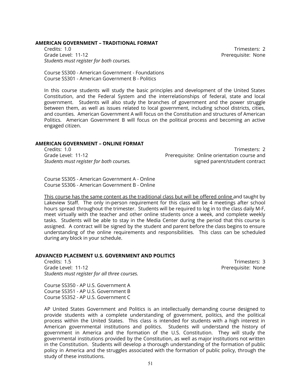#### **AMERICAN GOVERNMENT – TRADITIONAL FORMAT**

Credits: 1.0 Trimesters: 2 Grade Level: 11-12 **Preference Level: 11-12** *Students must register for both courses.*

Course SS300 - American Government - Foundations Course SS301 - American Government B - Politics

In this course students will study the basic principles and development of the United States Constitution, and the Federal System and the interrelationships of federal, state and local government. Students will also study the branches of government and the power struggle between them, as well as issues related to local government, including school districts, cities, and counties. American Government A will focus on the Constitution and structures of American Politics. American Government B will focus on the political process and becoming an active engaged citizen.

#### **AMERICAN GOVERNMENT – ONLINE FORMAT**

Credits: 1.0 Trimesters: 2 Grade Level: 11-12 Prerequisite: Online orientation course and *Students must register for both courses.* signed parent/student contract

Course SS305 - American Government A - Online Course SS306 - American Government B - Online

This course has the same content as the traditional class but will be offered online and taught by Lakeview Staff. The only in-person requirement for this class will be 4 meetings after school hours spread throughout the trimester. Students will be required to log in to the class daily M-F, meet virtually with the teacher and other online students once a week, and complete weekly tasks. Students will be able to stay in the Media Center during the period that this course is assigned. A contract will be signed by the student and parent before the class begins to ensure understanding of the online requirements and responsibilities. This class can be scheduled during any block in your schedule.

### **ADVANCED PLACEMENT U.S. GOVERNMENT AND POLITICS**

Credits: 1.5 Trimesters: 3 Grade Level: 11-12 **Preference Level: 11-12** *Students must register for all three courses.*

Course SS350 - AP U.S. Government A Course SS351 - AP U.S. Government B Course SS352 - AP U.S. Government C

AP United States Government and Politics is an intellectually demanding course designed to provide students with a complete understanding of government, politics, and the political process within the United States. This class is intended for students with a high interest in American governmental institutions and politics. Students will understand the history of government in America and the formation of the U.S. Constitution. They will study the governmental institutions provided by the Constitution, as well as major institutions not written in the Constitution. Students will develop a thorough understanding of the formation of public policy in America and the struggles associated with the formation of public policy, through the study of these institutions.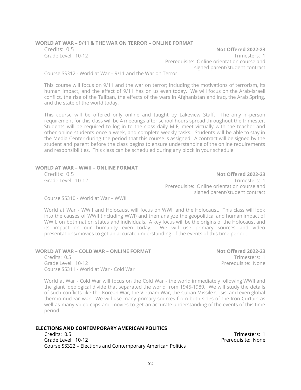### **WORLD AT WAR – 9/11 & THE WAR ON TERROR – ONLINE FORMAT**

Credits: 0.5 **Not Offered 2022-23** Grade Level: 10-12 **Trimesters: 1** Prerequisite: Online orientation course and signed parent/student contract

Course SS312 - World at War – 9/11 and the War on Terror

This course will focus on 9/11 and the war on terror; including the motivations of terrorism, its human impact, and the effect of 9/11 has on us even today. We will focus on the Arab-Israeli conflict, the rise of the Taliban, the effects of the wars in Afghanistan and Iraq, the Arab Spring, and the state of the world today.

This course will be offered only online and taught by Lakeview Staff. The only in-person requirement for this class will be 4 meetings after school hours spread throughout the trimester. Students will be required to log in to the class daily M-F, meet virtually with the teacher and other online students once a week, and complete weekly tasks. Students will be able to stay in the Media Center during the period that this course is assigned. A contract will be signed by the student and parent before the class begins to ensure understanding of the online requirements and responsibilities. This class can be scheduled during any block in your schedule.

# **WORLD AT WAR – WWII – ONLINE FORMAT**

Credits: 0.5 **Not Offered 2022-23** Grade Level: 10-12 **Trimesters: 1** Prerequisite: Online orientation course and signed parent/student contract

Course SS310 - World at War – WWII

World at War - WWII and Holocaust will focus on WWII and the Holocaust. This class will look into the causes of WWII (including WWI) and then analyze the geopolitical and human impact of WWII, on both nation states and individuals. A key focus will be the origins of the Holocaust and its impact on our humanity even today. We will use primary sources and video presentations/movies to get an accurate understanding of the events of this time period.

#### **WORLD AT WAR – COLD WAR – ONLINE FORMAT Not Offered 2022-23** Credits: 0.5 Trimesters: 1 Grade Level: 10-12 **Preference 2018** Prerequisite: None Course SS311 - World at War - Cold War

World at War - Cold War will focus on the Cold War - the world immediately following WWII and the giant ideological divide that separated the world from 1945-1989. We will study the details of such conflicts like the Korean War, the Vietnam War, the Cuban Missile Crisis, and even global thermo-nuclear war. We will use many primary sources from both sides of the Iron Curtain as well as many video clips and movies to get an accurate understanding of the events of this time period.

# **ELECTIONS AND CONTEMPORARY AMERICAN POLITICS**

Credits: 0.5 Trimesters: 1 Grade Level: 10-12 **Preference Level: 10-12** Course SS322 – Elections and Contemporary American Politics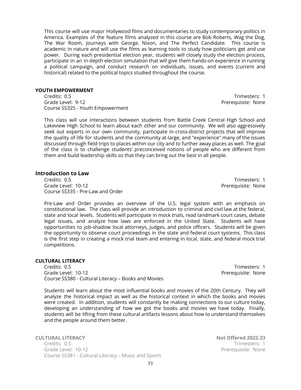This course will use major Hollywood films and documentaries to study contemporary politics in America. Examples of the feature films analyzed in this course are Bob Roberts, Wag the Dog, The War Room, Journeys with George, Nixon, and The Perfect Candidate. This course is academic in nature and will use the films as learning tools to study how politicians get and use power. During each presidential election year, students will closely study the election process, participate in an in-depth election simulation that will give them hands-on experience in running a political campaign, and conduct research on individuals, issues, and events (current and historical) related to the political topics studied throughout the course.

# **YOUTH EMPOWERMENT**

Credits: 0.5 Trimesters: 1 Grade Level: 9-12 Prerequisite: None Course SS325 - Youth Empowerment

This class will use interactions between students from Battle Creek Central High School and Lakeview High School to learn about each other and our community. We will also aggressively seek out experts in our own community, participate in cross-district projects that will improve the quality of life for students and the community at-large, and "experience" many of the issues discussed through field trips to places within our city and to further away places as well. The goal of the class is to challenge students' preconceived notions of people who are different from them and build leadership skills so that they can bring out the best in all people.

# **Introduction to Law**

Credits: 0.5 Trimesters: 1 Grade Level: 10-12 **Preference Level: 10-12** Course SS335 - Pre-Law and Order

Pre-Law and Order provides an overview of the U.S. legal system with an emphasis on constitutional law. The class will provide an introduction to criminal and civil law at the federal, state and local levels. Students will participate in mock trials, read landmark court cases, debate legal issues, and analyze how laws are enforced in the United State. Students will have opportunities to job-shadow local attorneys, judges, and police officers. Students will be given the opportunity to observe court proceedings in the state and federal court systems. This class is the first step in creating a mock trial team and entering in local, state, and federal mock trial competitions.

# **CULTURAL LITERACY**

Credits: 0.5 Trimesters: 1 Grade Level: 10-12 **Preference 20 and 20 and 20 and 20 and 20 and 20 and 20 and 20 and 20 and 20 and 20 and 20 and 20 and 20 and 20 and 20 and 20 and 20 and 20 and 20 and 20 and 20 and 20 and 20 and 20 and 20 and 20 and 20** Course SS380 - Cultural Literacy – Books and Movies

Students will learn about the most influential books and movies of the 20th Century. They will analyze the historical impact as well as the historical context in which the books and movies were created. In addition, students will constantly be making connections to our culture today, developing an understanding of how we got the books and movies we have today. Finally, students will be lifting from these cultural artifacts lessons about how to understand themselves and the people around them better.

**CULTURAL LITERACY Not Offered 2022-23** Credits: 0.5 Trimesters: 1 Grade Level: 10-12 **Preference 2018** Prerequisite: None Course SS381 - Cultural Literacy – Music and Sports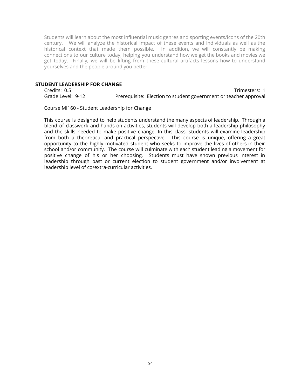Students will learn about the most influential music genres and sporting events/icons of the 20th century. We will analyze the historical impact of these events and individuals as well as the historical context that made them possible. In addition, we will constantly be making connections to our culture today, helping you understand how we get the books and movies we get today. Finally, we will be lifting from these cultural artifacts lessons how to understand yourselves and the people around you better.

# **STUDENT LEADERSHIP FOR CHANGE**

Credits: 0.5 Trimesters: 1 Grade Level: 9-12 Prerequisite: Election to student government or teacher approval

Course MI160 - Student Leadership for Change

This course is designed to help students understand the many aspects of leadership. Through a blend of classwork and hands-on activities, students will develop both a leadership philosophy and the skills needed to make positive change. In this class, students will examine leadership from both a theoretical and practical perspective. This course is unique, offering a great opportunity to the highly motivated student who seeks to improve the lives of others in their school and/or community. The course will culminate with each student leading a movement for positive change of his or her choosing. Students must have shown previous interest in leadership through past or current election to student government and/or involvement at leadership level of co/extra-curricular activities.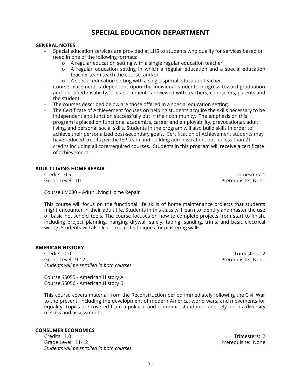# **SPECIAL EDUCATION DEPARTMENT**

# **GENERAL NOTES**

- Special education services are provided at LHS to students who qualify for services based on need in one of the following formats:
	- o A regular education setting with a single regular education teacher,
	- o A regular education setting in which a regular education and a special education teacher team teach the course, and/or
	- o A special education setting with a single special education teacher.
- Course placement is dependent upon the individual student's progress toward graduation and identified disability. This placement is reviewed with teachers, counselors, parents and the student.
- The courses described below are those offered in a special education setting.
- The Certificate of Achievement focuses on helping students acquire the skills necessary to be independent and function successfully out in their community. The emphasis on this program is placed on functional academics, career and employability, prevocational, adult living, and personal social skills. Students in the program will also build skills in order to achieve their personalized post-secondary goals. Certification of Achievement students may have reduced credits per the IEP team and building administration, but no less than 21 credits including all core/required courses. Students in this program will receive a certificate of achievement.

# **ADULT LIVING HOME REPAIR**

Credits: 0.5 Trimesters: 1

Course LM080 – Adult Living Home Repair

This course will focus on the functional life skills of home maintenance projects that students might encounter in their adult life. Students in this class will learn to identify and master the use of basic household tools. The course focuses on how to complete projects from start to finish, including project planning, hanging drywall safely, taping, sanding, trims, and basic electrical wiring. Students will also learn repair techniques for plastering walls.

# **AMERICAN HISTORY**

Credits: 1.0 Trimesters: 2<br>Grade Level: 9-12 Trimesters: 2 *Students will be enrolled in both courses*

Course SS055 - American History A Course SS056 - American History B

This course covers material from the Reconstruction period immediately following the Civil War to the present, including the development of modern America, world wars, and movements for equality. Topics are covered from a political and economic standpoint and rely upon a diversity of skills and assessments.

# **CONSUMER ECONOMICS**

Credits: 1.0 Trimesters: 2 Grade Level: 11-12 **Preference Level: 11-12** *Students will be enrolled in both courses*

Prerequisite: None

Grade Level: 10 Prerequisite: None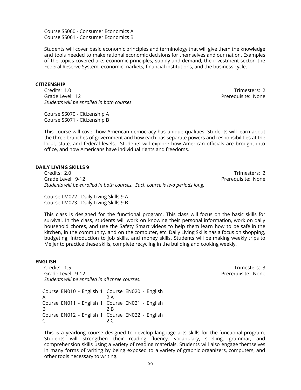Course SS060 - Consumer Economics A Course SS061 - Consumer Economics B

Students will cover basic economic principles and terminology that will give them the knowledge and tools needed to make rational economic decisions for themselves and our nation. Examples of the topics covered are: economic principles, supply and demand, the investment sector, the Federal Reserve System, economic markets, financial institutions, and the business cycle.

#### **CITIZENSHIP**

Credits: 1.0 Trimesters: 2 Grade Level: 12 Prerequisite: None *Students will be enrolled in both courses*

Course SS070 - Citizenship A Course SS071 - Citizenship B

This course will cover how American democracy has unique qualities. Students will learn about the three branches of government and how each has separate powers and responsibilities at the local, state, and federal levels. Students will explore how American officials are brought into office, and how Americans have individual rights and freedoms.

#### **DAILY LIVING SKILLS 9**

Credits: 2.0 Trimesters: 2 Grade Level: 9-12 Prerequisite: None *Students will be enrolled in both courses. Each course is two periods long.*

Course LM072 - Daily Living Skills 9 A Course LM073 - Daily Living Skills 9 B

This class is designed for the functional program. This class will focus on the basic skills for survival. In the class, students will work on knowing their personal information, work on daily household chores, and use the Safety Smart videos to help them learn how to be safe in the kitchen, in the community, and on the computer, etc. Daily Living Skills has a focus on shopping, budgeting, introduction to job skills, and money skills. Students will be making weekly trips to Meijer to practice these skills, complete recycling in the building and cooking weekly.

#### **ENGLISH**

Credits: 1.5 Trimesters: 3 Grade Level: 9-12 **Preference 2018** Prerequisite: None *Students will be enrolled in all three courses.*

Course EN010 - English 1 Course EN020 - English A 2 A Course EN011 - English 1 Course EN021 - English B 2 B Course EN012 - English 1 Course EN022 - English C 2 C

This is a yearlong course designed to develop language arts skills for the functional program. Students will strengthen their reading fluency, vocabulary, spelling, grammar, and comprehension skills using a variety of reading materials. Students will also engage themselves in many forms of writing by being exposed to a variety of graphic organizers, computers, and other tools necessary to writing.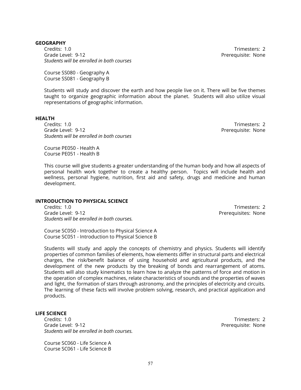# **GEOGRAPHY**

Credits: 1.0 Trimesters: 2 Grade Level: 9-12 Prerequisite: None *Students will be enrolled in both courses*

Course SS080 - Geography A Course SS081 - Geography B

Students will study and discover the earth and how people live on it. There will be five themes taught to organize geographic information about the planet. Students will also utilize visual representations of geographic information.

#### **HEALTH**

Credits: 1.0 Trimesters: 2 Grade Level: 9-12 **Preference Contract Contract Contract Contract Contract Contract Contract Contract Contract Contract Contract Contract Contract Contract Contract Contract Contract Contract Contract Contract Contract Con** *Students will be enrolled in both courses*

Course PE050 - Health A Course PE051 - Health B

This course will give students a greater understanding of the human body and how all aspects of personal health work together to create a healthy person. Topics will include health and wellness, personal hygiene, nutrition, first aid and safety, drugs and medicine and human development.

### **INTRODUCTION TO PHYSICAL SCIENCE**

Credits: 1.0 Trimesters: 2<br>Grade Level: 9-12 Grade Level: 9-12 *Students will be enrolled in both courses.*

Prerequisites: None

Course SC050 - Introduction to Physical Science A Course SC051 - Introduction to Physical Science B

Students will study and apply the concepts of chemistry and physics. Students will identify properties of common families of elements, how elements differ in structural parts and electrical charges, the risk/benefit balance of using household and agricultural products, and the development of the new products by the breaking of bonds and rearrangement of atoms. Students will also study kinematics to learn how to analyze the patterns of force and motion in the operation of complex machines, relate characteristics of sounds and the properties of waves and light, the formation of stars through astronomy, and the principles of electricity and circuits. The learning of these facts will involve problem solving, research, and practical application and products.

#### **LIFE SCIENCE**

Credits: 1.0 Trimesters: 2 Grade Level: 9-12 Prerequisite: None *Students will be enrolled in both courses.*

Course SC060 - Life Science A Course SC061 - Life Science B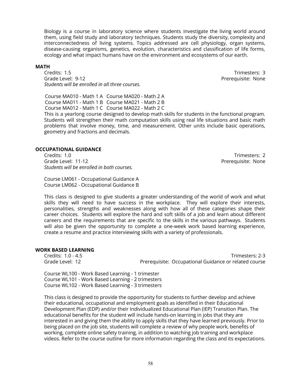Biology is a course in laboratory science where students investigate the living world around them, using field study and laboratory techniques. Students study the diversity, complexity and interconnectedness of living systems. Topics addressed are cell physiology, organ systems, disease-causing organisms, genetics, evolution, characteristics and classification of life forms, ecology and what impact humans have on the environment and ecosystems of our earth.

#### **MATH**

Credits: 1.5 Trimesters: 3 Grade Level: 9-12 **Preference 2018** Prerequisite: None *Students will be enrolled in all three courses.*

Course MA010 - Math 1 A Course MA020 - Math 2 A Course MA011 - Math 1 B Course MA021 - Math 2 B Course MA012 - Math 1 C Course MA022 - Math 2 C

This is a yearlong course designed to develop math skills for students in the functional program. Students will strengthen their math computation skills using real life situations and basic math problems that involve money, time, and measurement. Other units include basic operations, geometry and fractions and decimals.

#### **OCCUPATIONAL GUIDANCE**

Credits: 1.0 Trimesters: 2 Grade Level: 11-12 **Preference Level: 11-12** *Students will be enrolled in both courses.*

Course LM061 - Occupational Guidance A Course LM062 - Occupational Guidance B

This class is designed to give students a greater understanding of the world of work and what skills they will need to have success in the workplace. They will explore their interests, personalities, strengths and weaknesses along with how all of these categories shape their career choices. Students will explore the hard and soft skills of a job and learn about different careers and the requirements that are specific to the skills in the various pathways. Students will also be given the opportunity to complete a one-week work based learning experience, create a resume and practice interviewing skills with a variety of professionals.

# **WORK BASED LEARNING**

Credits: 1.0 - 4.5 Trimesters: 2-3 Grade Level: 12 **Prerequisite: Occupational Guidance or related course** 

Course WL100 - Work Based Learning - 1 trimester Course WL101 - Work Based Learning - 2 trimesters Course WL102 - Work Based Learning - 3 trimesters

This class is designed to provide the opportunity for students to further develop and achieve their educational, occupational and employment goals as identified in their Educational Development Plan (EDP) and/or their Individualized Educational Plan (IEP) Transition Plan. The educational benefits for the student will include hands-on learning in jobs that they are interested in and giving them the ability to apply skills that they have learned previously. Prior to being placed on the job site, students will complete a review of why people work, benefits of working, complete online safety training, in addition to watching job training and workplace videos. Refer to the course outline for more information regarding the class and its expectations.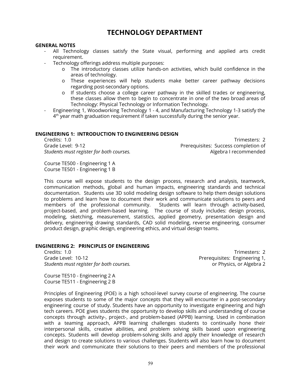# **TECHNOLOGY DEPARTMENT**

### **GENERAL NOTES**

- All Technology classes satisfy the State visual, performing and applied arts credit requirement.
- Technology offerings address multiple purposes:
	- o The introductory classes utilize hands-on activities, which build confidence in the areas of technology.
	- o These experiences will help students make better career pathway decisions regarding post-secondary options.
	- o If students choose a college career pathway in the skilled trades or engineering, these classes allow them to begin to concentrate in one of the two broad areas of Technology: Physical Technology or Information Technology.
- Engineering 1, Woodworking Technology 1 4, and Manufacturing Technology 1-3 satisfy the  $4^{\text{th}}$  year math graduation requirement if taken successfully during the senior year.

# **ENGINEERING 1: INTRODUCTION TO ENGINEERING DESIGN**

Credits: 1.0 Trimesters: 2 Grade Level: 9-12 **Preference 20 All 20 All 20 All 20 All 20 All 20 All 20 All 20 All 20 All 20 All 20 All 20 Al** *Students must register for both courses.* Algebra I recommended

Course TE500 - Engineering 1 A Course TE501 - Engineering 1 B

This course will expose students to the design process, research and analysis, teamwork, communication methods, global and human impacts, engineering standards and technical documentation. Students use 3D solid modeling design software to help them design solutions to problems and learn how to document their work and communicate solutions to peers and members of the professional community. Students will learn through activity-based, project-based, and problem-based learning. The course of study includes: design process, modeling, sketching, measurement, statistics, applied geometry, presentation design and delivery, engineering drawing standards, CAD solid modeling, reverse engineering, consumer product design, graphic design, engineering ethics, and virtual design teams.

# **ENGINEERING 2: PRINCIPLES OF ENGINEERING**

Grade Level: 10-12 **Preference 20 All 20 and 20 and 20 and 20 and 20 and 20 and 20 and 20 and 20 and 20 and 20 and 20 and 20 and 20 and 20 and 20 and 20 and 20 and 20 and 20 and 20 and 20 and 20 and 20 and 20 and 20 and 20** *Students must register for both courses.* or Physics, or Algebra 2

Course TE510 - Engineering 2 A Course TE511 - Engineering 2 B

Credits: 1.0 Trimesters: 2

Principles of Engineering (POE) is a high school-level survey course of engineering. The course exposes students to some of the major concepts that they will encounter in a post-secondary engineering course of study. Students have an opportunity to investigate engineering and high tech careers. POE gives students the opportunity to develop skills and understanding of course concepts through activity-, project-, and problem-based (APPB) learning. Used in combination with a teaming approach, APPB learning challenges students to continually hone their interpersonal skills, creative abilities, and problem solving skills based upon engineering concepts. Students will develop problem-solving skills and apply their knowledge of research and design to create solutions to various challenges. Students will also learn how to document their work and communicate their solutions to their peers and members of the professional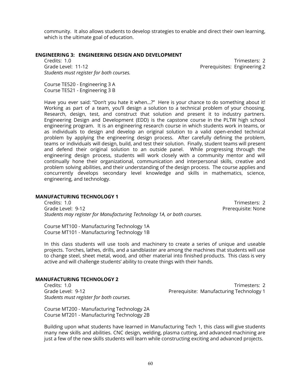community. It also allows students to develop strategies to enable and direct their own learning, which is the ultimate goal of education.

# **ENGINEERING 3: ENGINEERING DESIGN AND DEVELOPMENT**

Credits: 1.0 Trimesters: 2 Grade Level: 11-12 **Premiering 2** Prerequisites: Engineering 2 *Students must register for both courses.*

Course TE520 - Engineering 3 A Course TE521 - Engineering 3 B

Have you ever said: "Don't you hate it when…?" Here is your chance to do something about it! Working as part of a team, you'll design a solution to a technical problem of your choosing. Research, design, test, and construct that solution and present it to industry partners. Engineering Design and Development (EDD) is the capstone course in the PLTW high school engineering program. It is an engineering research course in which students work in teams, or as individuals to design and develop an original solution to a valid open-ended technical problem by applying the engineering design process. After carefully defining the problem, teams or individuals will design, build, and test their solution. Finally, student teams will present and defend their original solution to an outside panel. While progressing through the engineering design process, students will work closely with a community mentor and will continually hone their organizational, communication and interpersonal skills, creative and problem solving abilities, and their understanding of the design process. The course applies and concurrently develops secondary level knowledge and skills in mathematics, science, engineering, and technology.

# **MANUFACTURING TECHNOLOGY 1**

Credits: 1.0 Trimesters: 2 Grade Level: 9-12 Prerequisite: None *Students may register for Manufacturing Technology 1A, or both courses.*

Course MT100 - Manufacturing Technology 1A Course MT101 - Manufacturing Technology 1B

In this class students will use tools and machinery to create a series of unique and useable projects. Torches, lathes, drills, and a sandblaster are among the machines that students will use to change steel, sheet metal, wood, and other material into finished products. This class is very active and will challenge students' ability to create things with their hands.

# **MANUFACTURING TECHNOLOGY 2**

*Students must register for both courses.*

Credits: 1.0 Trimesters: 2 Grade Level: 9-12 **Premies and American Controllery** Prerequisite: Manufacturing Technology 1

Course MT200 - Manufacturing Technology 2A Course MT201 - Manufacturing Technology 2B

Building upon what students have learned in Manufacturing Tech 1, this class will give students many new skills and abilities. CNC design, welding, plasma cutting, and advanced machining are just a few of the new skills students will learn while constructing exciting and advanced projects.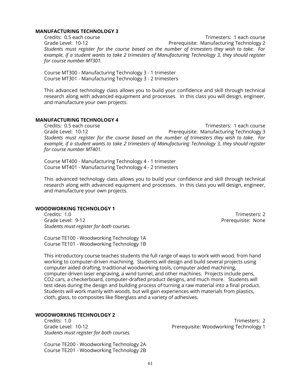#### **MANUFACTURING TECHNOLOGY 3**

Credits: 0.5 each course Trimesters: 1 each course Grade Level: 10-12 **Premier Communistie:** Manufacturing Technology 2 *Students must register for the course based on the number of trimesters they wish to take. For example, if a student wants to take 2 trimesters of Manufacturing Technology 3, they should register for course number MT301.*

Course MT300 - Manufacturing Technology 3 - 1 trimester Course MT301 - Manufacturing Technology 3 - 2 trimesters

This advanced technology class allows you to build your confidence and skill through technical research along with advanced equipment and processes. In this class you will design, engineer, and manufacture your own projects.

# **MANUFACTURING TECHNOLOGY 4**

Credits: 0.5 each course Trimesters: 1 each course Grade Level: 10-12 **Premier Communistie: Manufacturing Technology 3** *Students must register for the course based on the number of trimesters they wish to take. For example, if a student wants to take 2 trimesters of Manufacturing Technology 3, they should register for course number MT401.*

Course MT400 - Manufacturing Technology 4 - 1 trimester Course MT401 - Manufacturing Technology 4 - 2 trimesters

This advanced technology class allows you to build your confidence and skill through technical research along with advanced equipment and processes. In this class you will design, engineer, and manufacture your own projects.

#### **WOODWORKING TECHNOLOGY 1**

Credits: 1.0 Trimesters: 2 Grade Level: 9-12 **Preference Contract Contract Contract Contract Contract Contract Contract Contract Contract Contract Contract Contract Contract Contract Contract Contract Contract Contract Contract Contract Contract Con** *Students must register for both courses.*

Course TE100 - Woodworking Technology 1A Course TE101 - Woodworking Technology 1B

This introductory course teaches students the full range of ways to work with wood, from hand working to computer-driven machining. Students will design and build several projects using computer aided drafting, traditional woodworking tools, computer aided machining, computer-driven laser engraving, a wind tunnel, and other machines. Projects include pens, CO2 cars, a checkerboard, computer-drafted product designs, and much more. Students will test ideas during the design and building process of turning a raw material into a final product. Students will work mainly with woods, but will gain experiences with materials from plastics, cloth, glass, to composites like fiberglass and a variety of adhesives.

# **WOODWORKING TECHNOLOGY 2**

*Students must register for both courses.*

Course TE200 - Woodworking Technology 2A Course TE201 - Woodworking Technology 2B

Credits: 1.0 Trimesters: 2 Grade Level: 10-12 Prerequisite: Woodworking Technology 1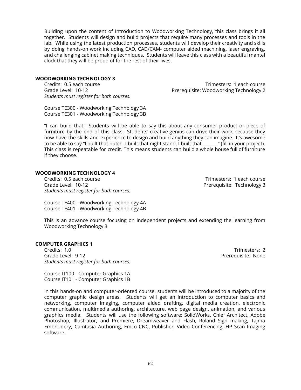Building upon the content of Introduction to Woodworking Technology, this class brings it all together. Students will design and build projects that require many processes and tools in the lab. While using the latest production processes, students will develop their creativity and skills by doing hands-on work including CAD, CAD/CAM- computer aided machining, laser engraving, and challenging cabinet making techniques. Students will leave this class with a beautiful mantel clock that they will be proud of for the rest of their lives.

# **WOODWORKING TECHNOLOGY 3**

*Students must register for both courses.*

Credits: 0.5 each course Trimesters: 1 each course Grade Level: 10-12 Prerequisite: Woodworking Technology 2

Course TE300 - Woodworking Technology 3A Course TE301 - Woodworking Technology 3B

"I can build that." Students will be able to say this about any consumer product or piece of furniture by the end of this class. Students' creative genius can drive their work because they now have the skills and experience to design and build anything they can imagine. It's awesome to be able to say "I built that hutch, I built that night stand, I built that \_\_\_\_\_\_\_" (fill in your project). This class is repeatable for credit. This means students can build a whole house full of furniture if they choose.

# **WOODWORKING TECHNOLOGY 4**

Credits: 0.5 each course Credits: 0.5 each course Grade Level: 10-12 **Preference 20 and 20 and 20 and 20 and 20 and 20 and 20 and 20 and 20 and 20 and 20 and 20 and 20 and 30 and 30 and 30 and 30 and 30 and 30 and 30 and 30 and 30 and 30 and 30 and 30 and 30 and 30 and 30** *Students must register for both courses.*

Course TE400 - Woodworking Technology 4A Course TE401 - Woodworking Technology 4B

This is an advance course focusing on independent projects and extending the learning from Woodworking Technology 3

### **COMPUTER GRAPHICS 1**

Credits: 1.0 Trimesters: 2 Grade Level: 9-12 Prerequisite: None *Students must register for both courses.*

Course IT100 - Computer Graphics 1A Course IT101 - Computer Graphics 1B

In this hands-on and computer-oriented course, students will be introduced to a majority of the computer graphic design areas. Students will get an introduction to computer basics and networking, computer imaging, computer aided drafting, digital media creation, electronic communication, multimedia authoring, architecture, web page design, animation, and various graphics media. Students will use the following software: SolidWorks, Chief Architect, Adobe Photoshop, Illustrator, and Premiere, Dreamweaver and Flash, Roland Sign making, Tajma Embroidery, Camtasia Authoring, Emco CNC, Publisher, Video Conferencing, HP Scan Imaging software.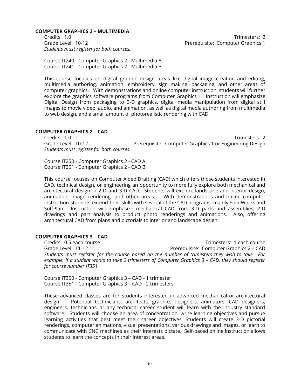#### **COMPUTER GRAPHICS 2 – MULTIMEDIA**

Credits: 1.0 Trimesters: 2 Grade Level: 10-12 **Preference 20 Aproximate** Prerequisite: Computer Graphics 1 *Students must register for both courses.*

Course IT240 - Computer Graphics 2 - Multimedia A Course IT241 - Computer Graphics 2 - Multimedia B

This course focuses on digital graphic design areas like digital image creation and editing, multimedia authoring, animation, embroidery, sign making, packaging, and other areas of computer graphics. With demonstrations and online computer instruction, students will further explore the graphics software programs from Computer Graphics 1. Instruction will emphasize Digital Design from packaging to 3-D graphics, digital media manipulation from digital still images to movie video, audio, and animation, as well as digital media authoring from multimedia to web design, and a small amount of photorealistic rendering with CAD.

# **COMPUTER GRAPHICS 2 – CAD**

Credits: 1.0 Trimesters: 2 Grade Level: 10-12 **Prerequisite: Computer Graphics 1 or Engineering Design** *Students must register for both courses.*

Course IT250 - Computer Graphics 2 - CAD A Course IT251 - Computer Graphics 2 - CAD B

This course focuses on Computer Aided Drafting (CAD) which offers those students interested in CAD, technical design, or engineering an opportunity to more fully explore both mechanical and architectural design in 2-D and 3-D CAD. Students will explore landscape and interior design, animation, image rendering, and other areas. With demonstrations and online computer instruction students extend their skills with several of the CAD programs, mainly SolidWorks and SoftPlan. Instruction will emphasize mechanical CAD from 3-D parts and assemblies, 2-D drawings and part analysis to product photo renderings and animations. Also, offering architectural CAD from plans and pictorials to interior and landscape design.

# **COMPUTER GRAPHICS 3 – CAD**

Credits: 0.5 each course Trimesters: 1 each course Grade Level: 11-12 Prerequisite: Computer Graphics 2 – CAD *Students must register for the course based on the number of trimesters they wish to take. For* example, if a student wants to take 2 trimesters of Computer Graphics 3 - CAD, they should register *for course number IT351.*

Course IT350 - Computer Graphics 3 – CAD - 1 trimester Course IT351 - Computer Graphics 3 – CAD - 2 trimesters

These advanced classes are for students interested in advanced mechanical or architectural design. Potential technicians, architects, graphics designers, animators, CAD designers, engineers, technicians or any technical career student will learn with the industry standard software. Students will choose an area of concentration, write learning objectives and pursue learning activities that best meet their career objectives. Students will create 3-D pictorial renderings, computer animations, visual presentations, various drawings and images, or learn to communicate with CNC machines as their interests dictate. Self-paced online instruction allows students to learn the concepts in their interest areas.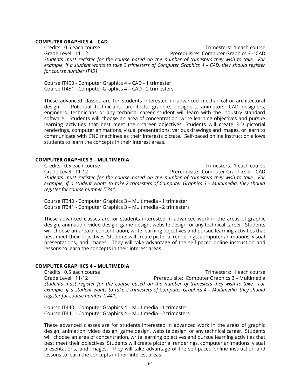#### **COMPUTER GRAPHICS 4 – CAD**

Credits: 0.5 each course Trimesters: 1 each course Grade Level: 11-12 Prerequisite: Computer Graphics 3 – CAD *Students must register for the course based on the number of trimesters they wish to take. For* example, if a student wants to take 2 trimesters of Computer Graphics 4 - CAD, they should register *for course number IT451.*

Course IT450 - Computer Graphics 4 – CAD - 1 trimester Course IT451 - Computer Graphics 4 – CAD - 2 trimesters

These advanced classes are for students interested in advanced mechanical or architectural design. Potential technicians, architects, graphics designers, animators, CAD designers, engineers, technicians or any technical career student will learn with the industry standard software. Students will choose an area of concentration, write learning objectives and pursue learning activities that best meet their career objectives. Students will create 3-D pictorial renderings, computer animations, visual presentations, various drawings and images, or learn to communicate with CNC machines as their interests dictate. Self-paced online instruction allows students to learn the concepts in their interest areas.

### **COMPUTER GRAPHICS 3 – MULTIMEDIA**

Credits: 0.5 each course Trimesters: 1 each course Grade Level: 11-12 Prerequisite: Computer Graphics 2 – CAD *Students must register for the course based on the number of trimesters they wish to take. For example, if a student wants to take 2 trimesters of Computer Graphics 3 – Multimedia, they should register for course number IT341.*

Course IT340 - Computer Graphics 3 – Multimedia - 1 trimester Course IT341 - Computer Graphics 3 – Multimedia - 2 trimesters

These advanced classes are for students interested in advanced work in the areas of graphic design, animation, video design, game design, website design, or any technical career. Students will choose an area of concentration, write learning objectives and pursue learning activities that best meet their objectives. Students will create pictorial renderings, computer animations, visual presentations, and images. They will take advantage of the self-paced online instruction and lessons to learn the concepts in their interest areas.

# **COMPUTER GRAPHICS 4 – MULTIMEDIA**

Credits: 0.5 each course Trimesters: 1 each course Grade Level: 11-12 Prerequisite: Computer Graphics 3 – Multimedia *Students must register for the course based on the number of trimesters they wish to take. For example, if a student wants to take 2 trimesters of Computer Graphics 4 – Multimedia, they should register for course number IT441.*

Course IT440 - Computer Graphics 4 – Multimedia - 1 trimester Course IT441 - Computer Graphics 4 – Multimedia - 2 trimesters

These advanced classes are for students interested in advanced work in the areas of graphic design, animation, video design, game design, website design, or any technical career. Students will choose an area of concentration, write learning objectives and pursue learning activities that best meet their objectives. Students will create pictorial renderings, computer animations, visual presentations, and images. They will take advantage of the self-paced online instruction and lessons to learn the concepts in their interest areas.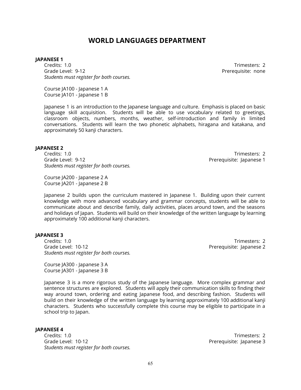# **WORLD LANGUAGES DEPARTMENT**

#### **JAPANESE 1**

Credits: 1.0 Trimesters: 2 Grade Level: 9-12 Prerequisite: none *Students must register for both courses.*

Course JA100 - Japanese 1 A Course JA101 - Japanese 1 B

Japanese 1 is an introduction to the Japanese language and culture. Emphasis is placed on basic language skill acquisition. Students will be able to use vocabulary related to greetings, classroom objects, numbers, months, weather, self-introduction and family in limited conversations. Students will learn the two phonetic alphabets, hiragana and katakana, and approximately 50 kanji characters.

#### **JAPANESE 2**

Credits: 1.0 Trimesters: 2 Grade Level: 9-12 **Preference 1 Preference 1 Preference 1** *Students must register for both courses.*

Course JA200 - Japanese 2 A Course JA201 - Japanese 2 B

Japanese 2 builds upon the curriculum mastered in Japanese 1. Building upon their current knowledge with more advanced vocabulary and grammar concepts, students will be able to communicate about and describe family, daily activities, places around town, and the seasons and holidays of Japan. Students will build on their knowledge of the written language by learning approximately 100 additional kanji characters.

#### **JAPANESE 3**

Credits: 1.0 Trimesters: 2 Grade Level: 10-12 **Premiers and Contract Automobile:** Prerequisite: Japanese 2 *Students must register for both courses.*

Course JA300 - Japanese 3 A Course JA301 - Japanese 3 B

Japanese 3 is a more rigorous study of the Japanese language. More complex grammar and sentence structures are explored. Students will apply their communication skills to finding their way around town, ordering and eating Japanese food, and describing fashion. Students will build on their knowledge of the written language by learning approximately 100 additional kanji characters. Students who successfully complete this course may be eligible to participate in a school trip to Japan.

#### **JAPANESE 4**

Credits: 1.0 Trimesters: 2 Grade Level: 10-12 **Premiers and Australian Control** Prerequisite: Japanese 3 *Students must register for both courses.*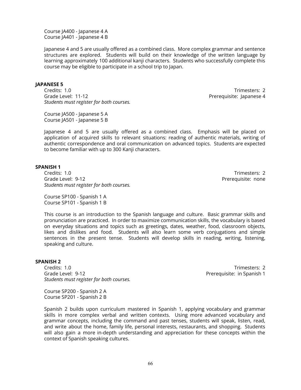Course JA400 - Japanese 4 A Course JA401 - Japanese 4 B

Japanese 4 and 5 are usually offered as a combined class. More complex grammar and sentence structures are explored. Students will build on their knowledge of the written language by learning approximately 100 additional kanji characters. Students who successfully complete this course may be eligible to participate in a school trip to Japan.

### **JAPANESE 5**

Credits: 1.0 Trimesters: 2 Grade Level: 11-12 **Premier and Australian Control** Prerequisite: Japanese 4 *Students must register for both courses.*

Course JA500 - Japanese 5 A Course JA501 - Japanese 5 B

Japanese 4 and 5 are usually offered as a combined class. Emphasis will be placed on application of acquired skills to relevant situations: reading of authentic materials, writing of authentic correspondence and oral communication on advanced topics. Students are expected to become familiar with up to 300 Kanji characters.

#### **SPANISH 1**

Credits: 1.0 Trimesters: 2 Grade Level: 9-12 **Preference 2018** Prerequisite: none *Students must register for both courses.*

Course SP100 - Spanish 1 A Course SP101 - Spanish 1 B

This course is an introduction to the Spanish language and culture. Basic grammar skills and pronunciation are practiced. In order to maximize communication skills, the vocabulary is based on everyday situations and topics such as greetings, dates, weather, food, classroom objects, likes and dislikes and food. Students will also learn some verb conjugations and simple sentences in the present tense. Students will develop skills in reading, writing, listening, speaking and culture.

#### **SPANISH 2**

Credits: 1.0 Trimesters: 2 Grade Level: 9-12 **Preference 20 A** Prerequisite: in Spanish 1 *Students must register for both courses.*

Course SP200 - Spanish 2 A Course SP201 - Spanish 2 B

Spanish 2 builds upon curriculum mastered in Spanish 1, applying vocabulary and grammar skills in more complex verbal and written contexts. Using more advanced vocabulary and grammar concepts, including the command and past tenses, students will speak, listen, read, and write about the home, family life, personal interests, restaurants, and shopping. Students will also gain a more in-depth understanding and appreciation for these concepts within the context of Spanish speaking cultures.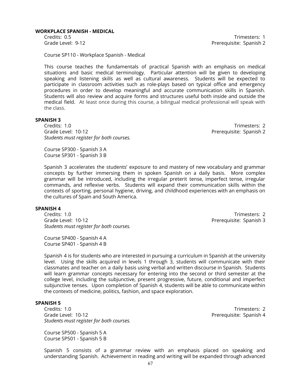#### **WORKPLACE SPANISH - MEDICAL**

Credits: 0.5 Trimesters: 1 Grade Level: 9-12 **Preference 20 August 2** Prerequisite: Spanish 2

Course SP110 - Workplace Spanish - Medical

This course teaches the fundamentals of practical Spanish with an emphasis on medical situations and basic medical terminology. Particular attention will be given to developing speaking and listening skills as well as cultural awareness. Students will be expected to participate in classroom activities such as role-plays based on typical office and emergency procedures in order to develop meaningful and accurate communication skills in Spanish. Students will also review and acquire forms and structures useful both inside and outside the medical field. At least once during this course, a bilingual medical professional will speak with the class.

#### **SPANISH 3**

Credits: 1.0 Trimesters: 2 Grade Level: 10-12 **Preference 2018** Prerequisite: Spanish 2 *Students must register for both courses.*

Course SP300 - Spanish 3 A Course SP301 - Spanish 3 B

Spanish 3 accelerates the students' exposure to and mastery of new vocabulary and grammar concepts by further immersing them in spoken Spanish on a daily basis. More complex grammar will be introduced, including the irregular preterit tense, imperfect tense, irregular commands, and reflexive verbs. Students will expand their communication skills within the contexts of sporting, personal hygiene, driving, and childhood experiences with an emphasis on the cultures of Spain and South America.

#### **SPANISH 4**

Credits: 1.0 Trimesters: 2 Grade Level: 10-12 **Preference 2018** Prerequisite: Spanish 3 *Students must register for both courses.*

Course SP400 - Spanish 4 A Course SP401 - Spanish 4 B

Spanish 4 is for students who are interested in pursuing a curriculum in Spanish at the university level. Using the skills acquired in levels 1 through 3, students will communicate with their classmates and teacher on a daily basis using verbal and written discourse in Spanish. Students will learn grammar concepts necessary for entering into the second or third semester at the college level, including the subjunctive, present progressive, future, conditional and imperfect subjunctive tenses. Upon completion of Spanish 4, students will be able to communicate within the contexts of medicine, politics, fashion, and space exploration.

# **SPANISH 5**

Credits: 1.0 Trimesters: 2 Grade Level: 10-12 **Preference 2018** Prerequisite: Spanish 4 *Students must register for both courses.*

Course SP500 - Spanish 5 A Course SP501 - Spanish 5 B

Spanish 5 consists of a grammar review with an emphasis placed on speaking and understanding Spanish. Achievement in reading and writing will be expanded through advanced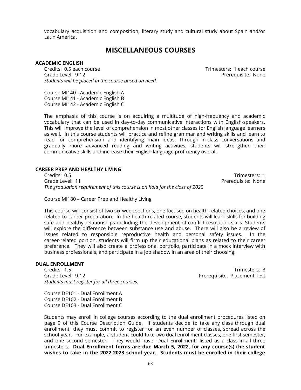vocabulary acquisition and composition, literary study and cultural study about Spain and/or Latin America**.**

# **MISCELLANEOUS COURSES**

# **ACADEMIC ENGLISH**

Credits: 0.5 each course Trimesters: 1 each course Grade Level: 9-12 **Preference Contract Contract Contract Contract Contract Contract Contract Contract Contract Contract Contract Contract Contract Contract Contract Contract Contract Contract Contract Contract Contract Con** *Students will be placed in the course based on need.*

Course MI140 - Academic English A Course MI141 - Academic English B Course MI142 - Academic English C

The emphasis of this course is on acquiring a multitude of high-frequency and academic vocabulary that can be used in day-to-day communicative interactions with English-speakers. This will improve the level of comprehension in most other classes for English language learners as well. In this course students will practice and refine grammar and writing skills and learn to read for comprehension and identifying main ideas. Through in-class conversations and gradually more advanced reading and writing activities, students will strengthen their communicative skills and increase their English language proficiency overall.

# **CAREER PREP AND HEALTHY LIVING**

Credits: 0.5 Trimesters: 1 Grade Level: 11 **Preference Contract Contract Contract Contract Contract Contract Contract Contract Contract Contract Contract Contract Contract Contract Contract Contract Contract Contract Contract Contract Contract Contr** *The graduation requirement of this course is on hold for the class of 2022*

Course MI180 – Career Prep and Healthy Living

This course will consist of two six-week sections, one focused on health-related choices, and one related to career preparation. In the health-related course, students will learn skills for building safe and healthy relationships including the development of conflict resolution skills. Students will explore the difference between substance use and abuse. There will also be a review of issues related to responsible reproductive health and personal safety issues. In the career-related portion, students will firm up their educational plans as related to their career preference. They will also create a professional portfolio, participate in a mock interview with business professionals, and participate in a job shadow in an area of their choosing.

#### **DUAL ENROLLMENT**

Credits: 1.5 Trimesters: 3 Grade Level: 9-12 **Preferent Test** Placement Test *Students must register for all three courses.*

Course DE101 - Dual Enrollment A Course DE102 - Dual Enrollment B Course DE103 - Dual Enrollment C

Students may enroll in college courses according to the dual enrollment procedures listed on page 9 of this Course Description Guide. If students decide to take any class through dual enrollment, they must commit to register for an even number of classes, spread across the school year. For example, a student could take two dual enrollment classes; one first semester, and one second semester. They would have "Dual Enrollment" listed as a class in all three trimesters. **Dual Enrollment forms are due March 5, 2022, for any course(s) the student wishes to take in the 2022-2023 school year. Students must be enrolled in their college**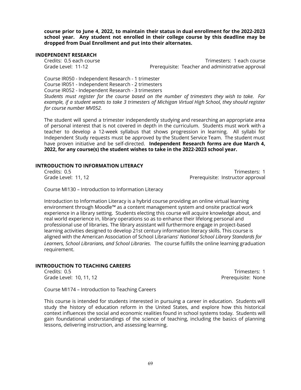**course prior to June 4, 2022, to maintain their status in dual enrollment for the 2022-2023 school year. Any student not enrolled in their college course by this deadline may be dropped from Dual Enrollment and put into their alternates.**

# **INDEPENDENT RESEARCH**

Credits: 0.5 each course Trimesters: 1 each course Grade Level: 11-12 **Prerequisite: Teacher and administrative approval** 

Course IR050 - Independent Research - 1 trimester Course IR051 - Independent Research - 2 trimesters Course IR052 - Independent Research - 3 trimesters *Students must register for the course based on the number of trimesters they wish to take. For example, if a student wants to take 3 trimesters of Michigan Virtual High School, they should register for course number MV052.*

The student will spend a trimester independently studying and researching an appropriate area of personal interest that is not covered in depth in the curriculum. Students must work with a teacher to develop a 12-week syllabus that shows progression in learning. All syllabi for Independent Study requests must be approved by the Student Service Team. The student must have proven initiative and be self-directed. **Independent Research forms are due March 4, 2022, for any course(s) the student wishes to take in the 2022-2023 school year.**

### **INTRODUCTION TO INFORMATION LITERACY**

Credits: 0.5 Trimesters: 1 Grade Level: 11, 12 **Premier and Australian Control** Prefequisite: Instructor approval

Course MI130 – Introduction to Information Literacy

Introduction to Information Literacy is a hybrid course providing an online virtual learning environment through Moodle™ as a content management system and onsite practical work experience in a library setting. Students electing this course will acquire knowledge about, and real world experience in, library operations so as to enhance their lifelong personal and professional use of libraries. The library assistant will furthermore engage in project-based learning activities designed to develop 21st century information literacy skills. This course is aligned with the American Association of School Librarians' *National School Library Standards for Learners, School Librarians, and School Libraries*. The course fulfills the online learning graduation requirement.

# **INTRODUCTION TO TEACHING CAREERS**

Credits: 0.5 Trimesters: 1 Grade Level: 10, 11, 12 **Preference 20** and the Case of Prerequisite: None

Course MI174 – Introduction to Teaching Careers

This course is intended for students interested in pursuing a career in education. Students will study the history of education reform in the United States, and explore how this historical context influences the social and economic realities found in school systems today. Students will gain foundational understandings of the science of teaching, including the basics of planning lessons, delivering instruction, and assessing learning.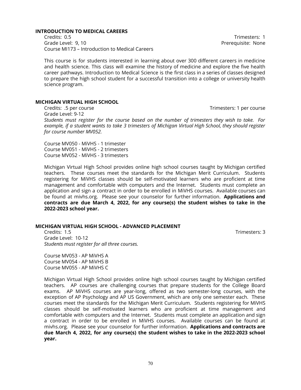#### **INTRODUCTION TO MEDICAL CAREERS**

Credits: 0.5 Trimesters: 1 Grade Level: 9, 10 **Preference Level: 9, 10** Prerequisite: None Course MI173 – Introduction to Medical Careers

This course is for students interested in learning about over 300 different careers in medicine and health science. This class will examine the history of medicine and explore the five health career pathways. Introduction to Medical Science is the first class in a series of classes designed to prepare the high school student for a successful transition into a college or university health science program.

#### **MICHIGAN VIRTUAL HIGH SCHOOL**

Credits: .5 per course Credits: .5 per course Grade Level: 9-12 *Students must register for the course based on the number of trimesters they wish to take. For example, if a student wants to take 3 trimesters of Michigan Virtual High School, they should register for course number MV052.*

Course MV050 - MiVHS - 1 trimester Course MV051 - MiVHS - 2 trimesters Course MV052 - MiVHS - 3 trimesters

Michigan Virtual High School provides online high school courses taught by Michigan certified teachers. These courses meet the standards for the Michigan Merit Curriculum. Students registering for MiVHS classes should be self-motivated learners who are proficient at time management and comfortable with computers and the Internet. Students must complete an application and sign a contract in order to be enrolled in MiVHS courses. Available courses can be found at mivhs.org. Please see your counselor for further information. **Applications and contracts are due March 4, 2022, for any course(s) the student wishes to take in the 2022-2023 school year.**

#### **MICHIGAN VIRTUAL HIGH SCHOOL - ADVANCED PLACEMENT**

Credits: 1.5 Trimesters: 3 Grade Level: 10-12 *Students must register for all three courses.*

Course MV053 - AP MiVHS A Course MV054 - AP MiVHS B Course MV055 - AP MiVHS C

Michigan Virtual High School provides online high school courses taught by Michigan certified teachers. AP courses are challenging courses that prepare students for the College Board exams. AP MiVHS courses are year-long, offered as two semester-long courses, with the exception of AP Psychology and AP US Government, which are only one semester each. These courses meet the standards for the Michigan Merit Curriculum. Students registering for MiVHS classes should be self-motivated learners who are proficient at time management and comfortable with computers and the Internet. Students must complete an application and sign a contract in order to be enrolled in MiVHS courses. Available courses can be found at mivhs.org. Please see your counselor for further information. **Applications and contracts are due March 4, 2022, for any course(s) the student wishes to take in the 2022-2023 school year.**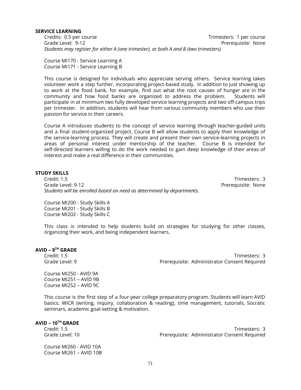#### **SERVICE LEARNING**

Credits: 0.5 per course Trimesters: 1 per course Grade Level: 9-12 **Preference Controller Serverse Controller** Prerequisite: None *Students may register for either A (one trimester), or both A and B (two trimesters)*

Course MI170 - Service Learning A Course MI171 - Service Learning B

This course is designed for individuals who appreciate serving others. Service learning takes volunteer work a step further, incorporating project-based study. In addition to just showing up to work at the food bank, for example, find out what the root causes of hunger are in the community and how food banks are organized to address the problem. Students will participate in at minimum two fully developed service learning projects and two off-campus trips per trimester. In addition, students will hear from various community members who use their passion for service in their careers.

Course A introduces students to the concept of service learning through teacher-guided units and a final student-organized project. Course B will allow students to apply their knowledge of the service-learning process. They will create and present their own service-learning projects in areas of personal interest under mentorship of the teacher. Course B is intended for self-directed learners willing to do the work needed to gain deep knowledge of their areas of interest and make a real difference in their communities.

# **STUDY SKILLS**

Credit: 1.5 Trimesters: 3 Grade Level: 9-12 Prerequisite: None *Students will be enrolled based on need as determined by departments.*

Course MI200 - Study Skills A Course MI201 - Study Skills B Course MI202 - Study Skills C

This class is intended to help students build on strategies for studying for other classes, organizing their work, and being independent learners.

# **AVID – 9 TH GRADE**

Credit: 1.5 Trimesters: 3 Grade Level: 9 **Prerequisite: Administrator Consent Required** 

Course MI250 - AVID 9A Course MI251 – AVID 9B Course MI252 – AVID 9C

This course is the first step of a four-year college preparatory program. Students will learn AVID basics: WICR (writing, inquiry, collaboration & reading), time management, tutorials, Socratic seminars, academic goal-setting & motivation.

**AVID – 10 TH GRADE**

Credit: 1.5 Trimesters: 3 Grade Level: 10 **Prerequisite: Administrator Consent Required** 

Course MI260 - AVID 10A Course MI261 – AVID 10B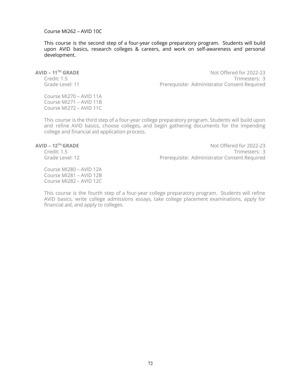### Course MI262 – AVID 10C

This course is the second step of a four-year college preparatory program. Students will build upon AVID basics, research colleges & careers, and work on self-awareness and personal development.

**AVID – 11<sup>TH</sup> GRADE**<br>Credit: 1.5

Not Offered for 2022-23 Trimesters: 3 Grade Level: 11 **Prerequisite: Administrator Consent Required** 

Course MI270 – AVID 11A Course MI271 – AVID 11B Course MI272 – AVID 11C

This course is the third step of a four-year college preparatory program. Students will build upon and refine AVID basics, choose colleges, and begin gathering documents for the impending college and financial aid application process.

# **AVID – 12<sup>TH</sup> GRADE**<br>Credit: 1.5

Not Offered for 2022-23 Trimesters: 3 Grade Level: 12 **Prerequisite: Administrator Consent Required** 

Course MI280 – AVID 12A Course MI281 – AVID 12B Course MI282 – AVID 12C

This course is the fourth step of a four-year college preparatory program. Students will refine AVID basics, write college admissions essays, take college placement examinations, apply for financial aid, and apply to colleges.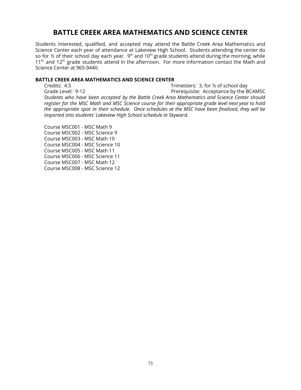# **BATTLE CREEK AREA MATHEMATICS AND SCIENCE CENTER**

Students interested, qualified, and accepted may attend the Battle Creek Area Mathematics and Science Center each year of attendance at Lakeview High School. Students attending the center do so for ½ of their school day each year. 9<sup>th</sup> and 10<sup>th</sup> grade students attend during the morning, while  $11<sup>th</sup>$  and  $12<sup>th</sup>$  grade students attend in the afternoon. For more information contact the Math and Science Center at 965-9440.

# **BATTLE CREEK AREA MATHEMATICS AND SCIENCE CENTER**

Credits: 4.5 Trimesters: 3, for ½ of school day Grade Level: 9-12 **Preferent Acceptance by the BCAMSC** *Students who have been accepted by the Battle Creek Area Mathematics and Science Center should* register for the MSC Math and MSC Science course for their appropriate grade level next year to hold *the appropriate spot in their schedule. Once schedules at the MSC have been finalized, they will be imported into students' Lakeview High School schedule in Skyward.*

Course MSC001 - MSC Math 9 Course MSC002 - MSC Science 9 Course MSC003 - MSC Math 10 Course MSC004 - MSC Science 10 Course MSC005 - MSC Math 11 Course MSC006 - MSC Science 11 Course MSC007 - MSC Math 12 Course MSC008 - MSC Science 12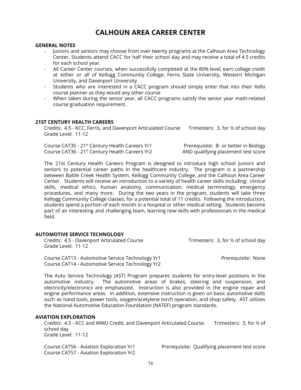# **CALHOUN AREA CAREER CENTER**

# **GENERAL NOTES**

- Juniors and seniors may choose from over twenty programs at the Calhoun Area Technology Center. Students attend CACC for half their school day and may receive a total of 4.5 credits for each school year.
- All Career Center courses, when successfully completed at the 80% level, earn college credit at either or all of Kellogg Community College, Ferris State University, Western Michigan University, and Davenport University.
- Students who are interested in a CACC program should simply enter that into their Xello course planner as they would any other course
- When taken during the senior year, all CACC programs satisfy the senior year math-related course graduation requirement.

# **21ST CENTURY HEALTH CAREERS**

Credits: 4.5 - KCC, Ferris, and Davenport Articulated Course Trimesters: 3, for ½ of school day Grade Level: 11-12

Course CAT35 - 21<sup>st</sup> Century Health Careers Yr1 Prerequisite: B- or better in Biology Course CAT36 - 21<sup>st</sup> Century Health Careers Yr2 AND qualifying placement test score

The 21st Century Health Careers Program is designed to introduce high school juniors and seniors to potential career paths in the healthcare industry. The program is a partnership between Battle Creek Health System, Kellogg Community College, and the Calhoun Area Career Center. Students will receive an introduction to a variety of health career skills including: clinical skills, medical ethics, human anatomy, communication, medical terminology, emergency procedures, and many more. During the two years in the program, students will take three Kellogg Community College classes, for a potential total of 11 credits. Following the introduction, students spend a portion of each month in a hospital or other medical setting. Students become part of an interesting and challenging team, learning new skills with professionals in the medical field.

# **AUTOMOTIVE SERVICE TECHNOLOGY**

| Credits: 4.5 - Davenport Articulated Course<br>Grade Level: 11-12                                    | Trimesters: 3, for 1/2 of school day |
|------------------------------------------------------------------------------------------------------|--------------------------------------|
| Course CAT13 - Automotive Service Technology Yr1<br>Course CAT14 - Automotive Service Technology Yr2 | Prerequisite: None                   |

The Auto Service Technology (AST) Program prepares students for entry-level positions in the automotive industry. The automotive areas of brakes, steering and suspension, and electricity/electronics are emphasized. Instruction is also provided in the engine repair and engine performance areas. In addition, extensive instruction is given on basic automotive skills such as hand tools, power tools, oxygen/acetylene torch operation, and shop safety. AST utilizes the National Automotive Education Foundation (NATEF) program standards.

#### **AVIATION EXPLORATION**

Credits: 4.5 - KCC and WMU Credit, and Davenport Articulated Course Trimesters: 3, for ½ of school day Grade Level: 11-12

Course CAT57 - Aviation Exploration Yr2

Course CAT56 - Aviation Exploration Yr1 Prerequisite: Qualifying placement test score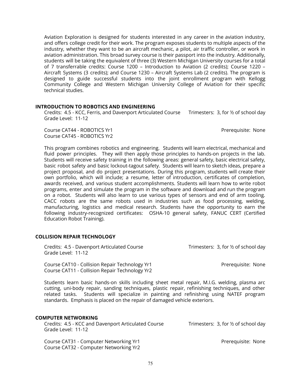Aviation Exploration is designed for students interested in any career in the aviation industry, and offers college credit for their work. The program exposes students to multiple aspects of the industry, whether they want to be an aircraft mechanic, a pilot, air traffic controller, or work in aviation administration. This broad survey course is their passport into the industry. Additionally, students will be taking the equivalent of three (3) Western Michigan University courses for a total of 7 transferrable credits: Course 1200 – Introduction to Aviation (2 credits); Course 1220 – Aircraft Systems (3 credits); and Course 1230 – Aircraft Systems Lab (2 credits). The program is designed to guide successful students into the joint enrollment program with Kellogg Community College and Western Michigan University College of Aviation for their specific technical studies.

# **INTRODUCTION TO ROBOTICS AND ENGINEERING**

Credits: 4.5 - KCC, Ferris, and Davenport Articulated Course Trimesters: 3, for ½ of school day Grade Level: 11-12

Course CAT44 - ROBOTICS Yr1 **Preferent State of AT44 - Report State State State State State State State State State State State State State State State State State State State State State State State State State State Stat** Course CAT45 - ROBOTICS Yr2

This program combines robotics and engineering. Students will learn electrical, mechanical and fluid power principles. They will then apply those principles to hands-on projects in the lab. Students will receive safety training in the following areas: general safety, basic electrical safety, basic robot safety and basic lockout-tagout safety. Students will learn to sketch ideas, prepare a project proposal, and do project presentations. During this program, students will create their own portfolio, which will include; a resume, letter of introduction, certificates of completion, awards received, and various student accomplishments. Students will learn how to write robot programs, enter and simulate the program in the software and download and run the program on a robot. Students will also learn to use various types of sensors and end of arm tooling. CACC robots are the same robots used in industries such as food processing, welding, manufacturing, logistics and medical research. Students have the opportunity to earn the following industry-recognized certificates: OSHA-10 general safety, FANUC CERT (Certified Education Robot Training).

#### **COLLISION REPAIR TECHNOLOGY**

| Credits: 4.5 - Davenport Articulated Course<br>Grade Level: 11-12                                    | Trimesters: 3, for 1/2 of school day |
|------------------------------------------------------------------------------------------------------|--------------------------------------|
| Course CAT10 - Collision Repair Technology Yr1<br>Course CAT11 - Collision Repair Technology Yr2     | Prerequisite: None                   |
| $C$ tudenta legun legela legula de altila inducidad alegat metal pengin. MILC, colalina alegana deng |                                      |

Students learn basic hands-on skills including sheet metal repair, M.I.G. welding, plasma arc cutting, uni-body repair, sanding techniques, plastic repair, refinishing techniques, and other related tasks. Students will specialize in painting and refinishing using NATEF program standards. Emphasis is placed on the repair of damaged vehicle exteriors.

# **COMPUTER NETWORKING**

| Credits: 4.5 - KCC and Davenport Articulated Course<br>Grade Level: 11-12        | Trimesters: 3, for $\frac{1}{2}$ of school day |
|----------------------------------------------------------------------------------|------------------------------------------------|
| Course CAT31 - Computer Networking Yr1<br>Course CAT32 - Computer Networking Yr2 | Prerequisite: None                             |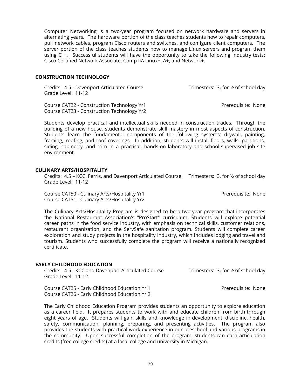Computer Networking is a two-year program focused on network hardware and servers in alternating years. The hardware portion of the class teaches students how to repair computers, pull network cables, program Cisco routers and switches, and configure client computers. The server portion of the class teaches students how to manage Linux servers and program them using C++. Successful students will have the opportunity to take the following industry tests: Cisco Certified Network Associate, CompTIA Linux+, A+, and Network+.

# **CONSTRUCTION TECHNOLOGY**

Credits: 4.5 - Davenport Articulated Course Trimesters: 3, for ½ of school day Grade Level: 11-12

Course CAT22 - Construction Technology Yr1 **Premium Course CAT22 - Construction Technology Yr1** Prerequisite: None Course CAT23 - Construction Technology Yr2

Students develop practical and intellectual skills needed in construction trades. Through the building of a new house, students demonstrate skill mastery in most aspects of construction. Students learn the fundamental components of the following systems: drywall, painting, framing, roofing, and roof coverings. In addition, students will install floors, walls, partitions, siding, cabinetry, and trim in a practical, hands-on laboratory and school-supervised job site environment.

# **CULINARY ARTS/HOSPITALITY**

Credits: 4.5 – KCC, Ferris, and Davenport Articulated Course Trimesters: 3, for ½ of school day Grade Level: 11-12

Course CAT50 - Culinary Arts/Hospitality Yr1 **Premium Course CAT50 - Course CAT50** - Culinary Arts/Hospitality Yr1 Course CAT51 - Culinary Arts/Hospitality Yr2

The Culinary Arts/Hospitality Program is designed to be a two-year program that incorporates the National Restaurant Association's "ProStart" curriculum. Students will explore potential career paths in the food service industry, with emphasis on technical skills, customer relations, restaurant organization, and the ServSafe sanitation program. Students will complete career exploration and study projects in the hospitality industry, which includes lodging and travel and tourism. Students who successfully complete the program will receive a nationally recognized certificate.

#### **EARLY CHILDHOOD EDUCATION**

Credits: 4.5 - KCC and Davenport Articulated Course Trimesters: 3, for 1/2 of school day Grade Level: 11-12

Course CAT25 - Early Childhood Education Yr 1 Prerequisite: None Course CAT26 - Early Childhood Education Yr 2

The Early Childhood Education Program provides students an opportunity to explore education as a career field. It prepares students to work with and educate children from birth through eight years of age. Students will gain skills and knowledge in development, discipline, health, safety, communication, planning, preparing, and presenting activities. The program also provides the students with practical work experience in our preschool and various programs in the community. Upon successful completion of the program, students can earn articulation credits (free college credits) at a local college and university in Michigan.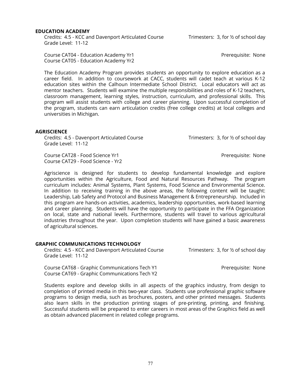#### **EDUCATION ACADEMY**

Credits: 4.5 - KCC and Davenport Articulated Course Trimesters: 3, for 1/2 of school day Grade Level: 11-12

Course CAT04 - Education Academy Yr1 **Premium Academy Yrn** Prerequisite: None Course CAT05 - Education Academy Yr2

The Education Academy Program provides students an opportunity to explore education as a career field. In addition to coursework at CACC, students will cadet teach at various K-12 education sites within the Calhoun Intermediate School District. Local educators will act as mentor teachers. Students will examine the multiple responsibilities and roles of K-12 teachers, classroom management, learning styles, instruction, curriculum, and professional skills. This program will assist students with college and career planning. Upon successful completion of the program, students can earn articulation credits (free college credits) at local colleges and universities in Michigan.

#### **AGRISCIENCE**

Credits: 4.5 - Davenport Articulated Course Trimesters: 3, for 1/2 of school day Grade Level: 11-12

Course CAT28 - Food Science Yr1 **Premiers and Science Yrange CAT28** - Prerequisite: None Course CAT29 - Food Science - Yr2

Agriscience is designed for students to develop fundamental knowledge and explore opportunities within the Agriculture, Food and Natural Resources Pathway. The program curriculum includes: Animal Systems, Plant Systems, Food Science and Environmental Science. In addition to receiving training in the above areas, the following content will be taught: Leadership, Lab Safety and Protocol and Business Management & Entrepreneurship. Included in this program are hands-on activities, academics, leadership opportunities, work-based learning and career planning. Students will have the opportunity to participate in the FFA Organization on local, state and national levels. Furthermore, students will travel to various agricultural industries throughout the year. Upon completion students will have gained a basic awareness of agricultural sciences.

# **GRAPHIC COMMUNICATIONS TECHNOLOGY**

Credits: 4.5 - KCC and Davenport Articulated Course Trimesters: 3, for ½ of school day Grade Level: 11-12

Course CAT68 - Graphic Communications Tech Y1 Prerequisite: None Course CAT69 - Graphic Communications Tech Y2

Students explore and develop skills in all aspects of the graphics industry, from design to completion of printed media in this two-year class. Students use professional graphic software programs to design media, such as brochures, posters, and other printed messages. Students also learn skills in the production printing stages of pre-printing, printing, and finishing. Successful students will be prepared to enter careers in most areas of the Graphics field as well as obtain advanced placement in related college programs.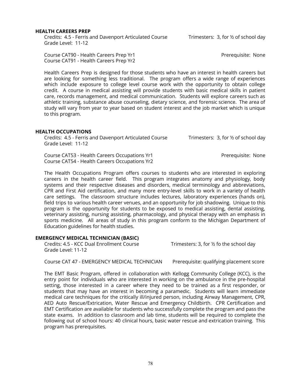#### **HEALTH CAREERS PREP**

Credits: 4.5 - Ferris and Davenport Articulated Course Trimesters: 3, for 1/2 of school day Grade Level: 11-12

Course CAT90 - Health Careers Prep Yr1 Prerequisite: None Course CAT91 - Health Careers Prep Yr2

Health Careers Prep is designed for those students who have an interest in health careers but are looking for something less traditional. The program offers a wide range of experiences which include exposure to college level course work with the opportunity to obtain college credit. A course in medical assisting will provide students with basic medical skills in patient care, records management, and medical communication. Students will explore careers such as athletic training, substance abuse counseling, dietary science, and forensic science. The area of study will vary from year to year based on student interest and the job market which is unique to this program.

# **HEALTH OCCUPATIONS**

Credits: 4.5 - Ferris and Davenport Articulated Course Trimesters: 3, for 1/2 of school day Grade Level: 11-12

Course CAT53 - Health Careers Occupations Yr1 Prerequisite: None Course CAT54 - Health Careers Occupations Yr2

The Health Occupations Program offers courses to students who are interested in exploring careers in the health career field. This program integrates anatomy and physiology, body systems and their respective diseases and disorders, medical terminology and abbreviations, CPR and First Aid certification, and many more entry-level skills to work in a variety of health care settings. The classroom structure includes lectures, laboratory experiences (hands on), field trips to various health career venues, and an opportunity for job shadowing. Unique to this program is the opportunity for students to be exposed to medical assisting, dental assisting, veterinary assisting, nursing assisting, pharmacology, and physical therapy with an emphasis in sports medicine. All areas of study in this program conform to the Michigan Department of Education guidelines for health studies.

# **EMERGENCY MEDICAL TECHNICIAN (BASIC)**

Credits: 4.5 - KCC Dual Enrollment Course Trimesters: 3, for 1/2 fo the school day Grade Level: 11-12

Course CAT 47 - EMERGENCY MEDICAL TECHNICIAN Prerequisite: qualifying placement score

The EMT Basic Program, offered in collaboration with Kellogg Community College (KCC), is the entry point for individuals who are interested in working on the ambulance in the pre-hospital setting, those interested in a career where they need to be trained as a first responder, or students that may have an interest in becoming a paramedic. Students will learn immediate medical care techniques for the critically ill/injured person, including Airway Management, CPR, AED Auto Rescue/Extrication, Water Rescue and Emergency Childbirth. CPR Certification and EMT Certification are available for students who successfully complete the program and pass the state exams. In addition to classroom and lab time, students will be required to complete the following out of school hours: 40 clinical hours, basic water rescue and extrication training. This program has prerequisites.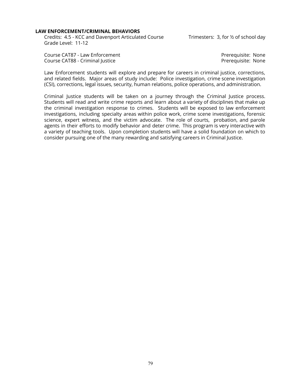#### **LAW ENFORCEMENT/CRIMINAL BEHAVIORS**

Credits: 4.5 - KCC and Davenport Articulated Course Trimesters: 3, for 1/2 of school day Grade Level: 11-12

Course CAT87 - Law Enforcement **Premium Enforcement** Prerequisite: None Course CAT88 - Criminal Justice **Premission Course CAT88** - Criminal Justice **Premission** 

Law Enforcement students will explore and prepare for careers in criminal justice, corrections, and related fields. Major areas of study include: Police investigation, crime scene investigation (CSI), corrections, legal issues, security, human relations, police operations, and administration.

Criminal Justice students will be taken on a journey through the Criminal Justice process. Students will read and write crime reports and learn about a variety of disciplines that make up the criminal investigation response to crimes. Students will be exposed to law enforcement investigations, including specialty areas within police work, crime scene investigations, forensic science, expert witness, and the victim advocate. The role of courts, probation, and parole agents in their efforts to modify behavior and deter crime. This program is very interactive with a variety of teaching tools. Upon completion students will have a solid foundation on which to consider pursuing one of the many rewarding and satisfying careers in Criminal Justice.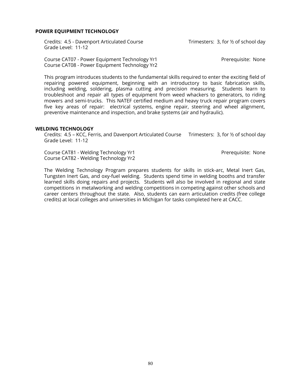#### **POWER EQUIPMENT TECHNOLOGY**

Credits: 4.5 - Davenport Articulated Course Trimesters: 3, for ½ of school day Grade Level: 11-12

Course CAT07 - Power Equipment Technology Yr1 Prerequisite: None Course CAT08 - Power Equipment Technology Yr2

This program introduces students to the fundamental skills required to enter the exciting field of repairing powered equipment, beginning with an introductory to basic fabrication skills, including welding, soldering, plasma cutting and precision measuring. Students learn to troubleshoot and repair all types of equipment from weed whackers to generators, to riding mowers and semi-trucks. This NATEF certified medium and heavy truck repair program covers five key areas of repair: electrical systems, engine repair, steering and wheel alignment, preventive maintenance and inspection, and brake systems (air and hydraulic).

#### **WELDING TECHNOLOGY**

Credits: 4.5 – KCC, Ferris, and Davenport Articulated Course Trimesters: 3, for ½ of school day Grade Level: 11-12

Course CAT81 - Welding Technology Yr1 **Premium Course CAT81** - Welding Technology Yr1 Course CAT82 - Welding Technology Yr2

The Welding Technology Program prepares students for skills in stick-arc, Metal Inert Gas, Tungsten Inert Gas, and oxy-fuel welding. Students spend time in welding booths and transfer learned skills doing repairs and projects. Students will also be involved in regional and state competitions in metalworking and welding competitions in competing against other schools and career centers throughout the state. Also, students can earn articulation credits (free college credits) at local colleges and universities in Michigan for tasks completed here at CACC.